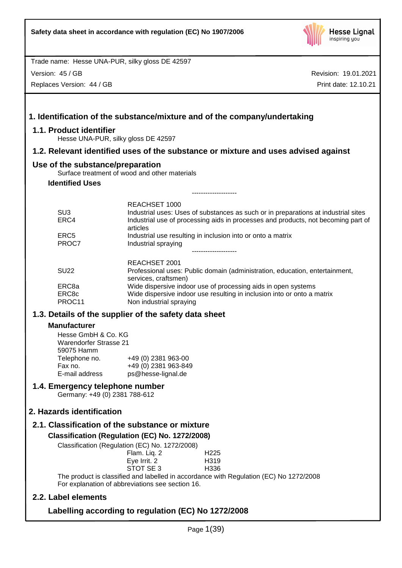

Version: 45 / GB

Replaces Version: 44 / GB

Revision: 19.01.2021 Print date: 12.10.21

# **1. Identification of the substance/mixture and of the company/undertaking 1.1. Product identifier** Hesse UNA-PUR, silky gloss DE 42597 **1.2. Relevant identified uses of the substance or mixture and uses advised against Use of the substance/preparation** Surface treatment of wood and other materials **Identified Uses** -------------------- REACHSET 1000 SU3 **Industrial uses: Uses of substances as such or in preparations at industrial sites** ERC4 Industrial use of processing aids in processes and products, not becoming part of articles ERC5 Industrial use resulting in inclusion into or onto a matrix PROC7 Industrial spraying -------------------- REACHSET 2001 SU22 Professional uses: Public domain (administration, education, entertainment, services, craftsmen) ERC8a Wide dispersive indoor use of processing aids in open systems ERC8c Wide dispersive indoor use resulting in inclusion into or onto a matrix PROC11 Non industrial spraying **1.3. Details of the supplier of the safety data sheet Manufacturer** Hesse GmbH & Co. KG Warendorfer Strasse 21 59075 Hamm Telephone no. +49 (0) 2381 963-00 Fax no.  $+49(0)$  2381 963-849<br>E-mail address ps@hesse-lignal.de ps@hesse-lignal.de **1.4. Emergency telephone number** Germany: +49 (0) 2381 788-612 **2. Hazards identification 2.1. Classification of the substance or mixture Classification (Regulation (EC) No. 1272/2008)** Classification (Regulation (EC) No. 1272/2008) Flam. Liq. 2 H225 Eye Irrit. 2 H319 STOT SE 3 H336 The product is classified and labelled in accordance with Regulation (EC) No 1272/2008 For explanation of abbreviations see section 16. **2.2. Label elements Labelling according to regulation (EC) No 1272/2008**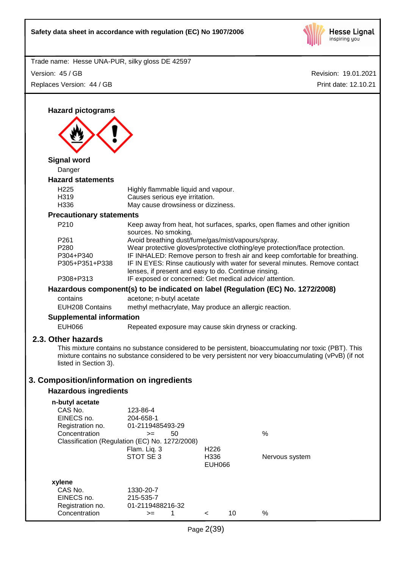

Revision: 19.01.2021 Trade name: Hesse UNA-PUR, silky gloss DE 42597 Print date: 12.10.21 Version: 45 / GB Replaces Version: 44 / GB **Hazard pictograms Signal word** Danger **Hazard statements** H225 Highly flammable liquid and vapour. H319 Causes serious eye irritation. H336 May cause drowsiness or dizziness. **Precautionary statements** P210 Keep away from heat, hot surfaces, sparks, open flames and other ignition sources. No smoking. P261 Avoid breathing dust/fume/gas/mist/vapours/spray. P280 Wear protective gloves/protective clothing/eye protection/face protection. P304+P340 IF INHALED: Remove person to fresh air and keep comfortable for breathing. P305+P351+P338 IF IN EYES: Rinse cautiously with water for several minutes. Remove contact lenses, if present and easy to do. Continue rinsing. P308+P313 IF exposed or concerned: Get medical advice/ attention. **Hazardous component(s) to be indicated on label (Regulation (EC) No. 1272/2008)** contains acetone; n-butyl acetate EUH208 Contains methyl methacrylate, May produce an allergic reaction. **Supplemental information** EUH066 Repeated exposure may cause skin dryness or cracking. **2.3. Other hazards** This mixture contains no substance considered to be persistent, bioaccumulating nor toxic (PBT). This mixture contains no substance considered to be very persistent nor very bioaccumulating (vPvB) (if not listed in Section 3). **3. Composition/information on ingredients Hazardous ingredients n-butyl acetate** CAS No. 123-86-4 EINECS no. 204-658-1 Registration no. 01-2119485493-29 Concentration  $\geq$  50 % Classification (Regulation (EC) No. 1272/2008) Flam. Liq. 3 H226 STOT SE 3 H336 Nervous system EUH066 **xylene** CAS No. 1330-20-7 EINECS no. 215-535-7 Registration no. 01-2119488216-32 Concentration  $\rightarrow$  1 < 10 %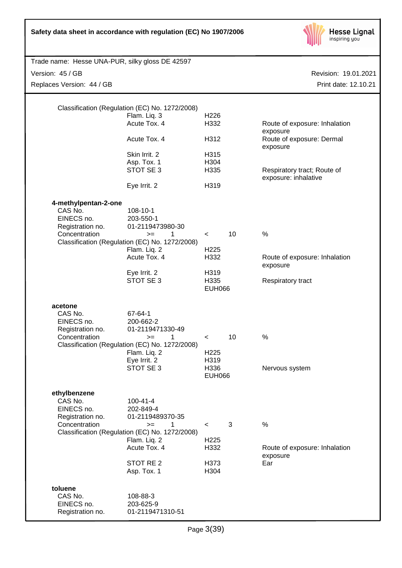| Safety data sheet in accordance with regulation (EC) No 1907/2006                  |                                                                                                                                                |                                     |    | <b>Hesse Lignal</b><br>inspiring you                            |
|------------------------------------------------------------------------------------|------------------------------------------------------------------------------------------------------------------------------------------------|-------------------------------------|----|-----------------------------------------------------------------|
| Trade name: Hesse UNA-PUR, silky gloss DE 42597                                    |                                                                                                                                                |                                     |    |                                                                 |
| Version: 45 / GB                                                                   |                                                                                                                                                |                                     |    | Revision: 19.01.2021                                            |
| Replaces Version: 44 / GB                                                          |                                                                                                                                                |                                     |    | Print date: 12.10.21                                            |
|                                                                                    | Classification (Regulation (EC) No. 1272/2008)<br>Flam. Liq. 3<br>Acute Tox. 4                                                                 | H <sub>226</sub><br>H332            |    | Route of exposure: Inhalation                                   |
|                                                                                    | Acute Tox. 4                                                                                                                                   | H312                                |    | exposure<br>Route of exposure: Dermal                           |
|                                                                                    | Skin Irrit. 2<br>Asp. Tox. 1<br>STOT SE 3                                                                                                      | H315<br>H304<br>H335                |    | exposure<br>Respiratory tract; Route of<br>exposure: inhalative |
|                                                                                    | Eye Irrit. 2                                                                                                                                   | H319                                |    |                                                                 |
| 4-methylpentan-2-one<br>CAS No.<br>EINECS no.<br>Registration no.<br>Concentration | 108-10-1<br>203-550-1<br>01-2119473980-30<br>1<br>$>=$                                                                                         | $\,<\,$                             | 10 | $\%$                                                            |
|                                                                                    | Classification (Regulation (EC) No. 1272/2008)<br>Flam. Liq. 2<br>Acute Tox. 4                                                                 | H <sub>225</sub><br>H332            |    | Route of exposure: Inhalation<br>exposure                       |
|                                                                                    | Eye Irrit. 2<br>STOT SE 3                                                                                                                      | H319<br>H335<br><b>EUH066</b>       |    | Respiratory tract                                               |
| acetone<br>CAS No.<br>EINECS no.<br>Registration no.<br>Concentration              | 67-64-1<br>200-662-2<br>01-2119471330-49<br>1<br>$>=$<br>Classification (Regulation (EC) No. 1272/2008)<br>Flam. Liq. 2<br>Eye Irrit. 2        | $\,<\,$<br>H <sub>225</sub><br>H319 | 10 | $\%$                                                            |
|                                                                                    | STOT SE 3                                                                                                                                      | H336<br><b>EUH066</b>               |    | Nervous system                                                  |
| ethylbenzene<br>CAS No.<br>EINECS no.<br>Registration no.<br>Concentration         | $100 - 41 - 4$<br>202-849-4<br>01-2119489370-35<br>1<br>$>=$<br>Classification (Regulation (EC) No. 1272/2008)<br>Flam. Liq. 2<br>Acute Tox. 4 | $\,<\,$<br>H <sub>225</sub><br>H332 | 3  | $\%$<br>Route of exposure: Inhalation                           |
|                                                                                    | STOT RE <sub>2</sub>                                                                                                                           | H373                                |    | exposure<br>Ear                                                 |
|                                                                                    | Asp. Tox. 1                                                                                                                                    | H304                                |    |                                                                 |
| toluene<br>CAS No.<br>EINECS no.<br>Registration no.                               | 108-88-3<br>203-625-9<br>01-2119471310-51                                                                                                      |                                     |    |                                                                 |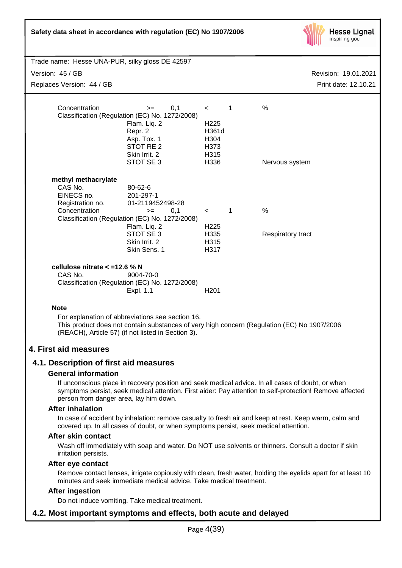| Safety data sheet in accordance with regulation (EC) No 1907/2006                 |                                                                                                                                                                         |                                                              |              | <b>Hesse Lignal</b><br>inspiring you                                                        |
|-----------------------------------------------------------------------------------|-------------------------------------------------------------------------------------------------------------------------------------------------------------------------|--------------------------------------------------------------|--------------|---------------------------------------------------------------------------------------------|
| Trade name: Hesse UNA-PUR, silky gloss DE 42597                                   |                                                                                                                                                                         |                                                              |              |                                                                                             |
| Version: 45 / GB                                                                  |                                                                                                                                                                         |                                                              |              | Revision: 19.01.2021                                                                        |
| Replaces Version: 44 / GB                                                         |                                                                                                                                                                         |                                                              |              | Print date: 12.10.21                                                                        |
|                                                                                   |                                                                                                                                                                         |                                                              |              |                                                                                             |
| Concentration                                                                     | 0,1<br>$=$<br>Classification (Regulation (EC) No. 1272/2008)<br>Flam. Liq. 2<br>Repr. 2<br>Asp. Tox. 1<br>STOT RE <sub>2</sub><br>Skin Irrit. 2                         | $\,<\,$<br>H <sub>225</sub><br>H361d<br>H304<br>H373<br>H315 | 1            | %                                                                                           |
|                                                                                   | STOT SE 3                                                                                                                                                               | H336                                                         |              | Nervous system                                                                              |
| methyl methacrylate<br>CAS No.<br>EINECS no.<br>Registration no.<br>Concentration | 80-62-6<br>201-297-1<br>01-2119452498-28<br>0,1<br>$>=$<br>Classification (Regulation (EC) No. 1272/2008)<br>Flam. Liq. 2<br>STOT SE 3<br>Skin Irrit. 2<br>Skin Sens. 1 | $\prec$<br>H <sub>225</sub><br>H335<br>H315<br>H317          | $\mathbf{1}$ | $\frac{0}{0}$<br>Respiratory tract                                                          |
| cellulose nitrate $<$ =12.6 % N<br>CAS No.                                        | 9004-70-0<br>Classification (Regulation (EC) No. 1272/2008)<br>Expl. 1.1                                                                                                | H <sub>201</sub>                                             |              |                                                                                             |
| <b>Note</b>                                                                       |                                                                                                                                                                         |                                                              |              |                                                                                             |
|                                                                                   | For explanation of abbreviations see section 16.<br>(REACH), Article 57) (if not listed in Section 3).                                                                  |                                                              |              | This product does not contain substances of very high concern (Regulation (EC) No 1907/2006 |
| 4. First aid measures                                                             |                                                                                                                                                                         |                                                              |              |                                                                                             |

# **4.1. Description of first aid measures**

# **General information**

If unconscious place in recovery position and seek medical advice. In all cases of doubt, or when symptoms persist, seek medical attention. First aider: Pay attention to self-protection! Remove affected person from danger area, lay him down.

# **After inhalation**

In case of accident by inhalation: remove casualty to fresh air and keep at rest. Keep warm, calm and covered up. In all cases of doubt, or when symptoms persist, seek medical attention.

#### **After skin contact**

Wash off immediately with soap and water. Do NOT use solvents or thinners. Consult a doctor if skin irritation persists.

# **After eye contact**

Remove contact lenses, irrigate copiously with clean, fresh water, holding the eyelids apart for at least 10 minutes and seek immediate medical advice. Take medical treatment.

# **After ingestion**

Do not induce vomiting. Take medical treatment.

# **4.2. Most important symptoms and effects, both acute and delayed**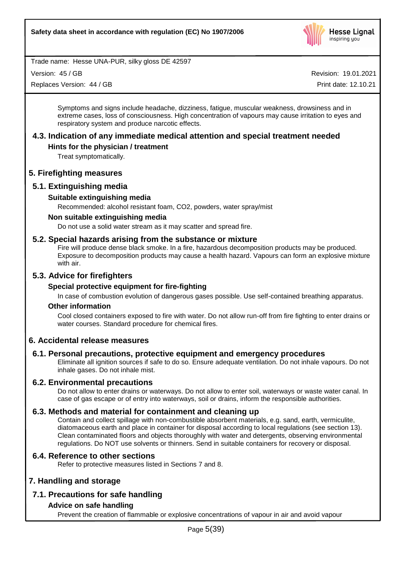

Version: 45 / GB

Replaces Version: 44 / GB

Revision: 19.01.2021

Print date: 12.10.21

Symptoms and signs include headache, dizziness, fatigue, muscular weakness, drowsiness and in extreme cases, loss of consciousness. High concentration of vapours may cause irritation to eyes and respiratory system and produce narcotic effects.

# **4.3. Indication of any immediate medical attention and special treatment needed**

# **Hints for the physician / treatment**

Treat symptomatically.

# **5. Firefighting measures**

# **5.1. Extinguishing media**

# **Suitable extinguishing media**

Recommended: alcohol resistant foam, CO2, powders, water spray/mist

# **Non suitable extinguishing media**

Do not use a solid water stream as it may scatter and spread fire.

# **5.2. Special hazards arising from the substance or mixture**

Fire will produce dense black smoke. In a fire, hazardous decomposition products may be produced. Exposure to decomposition products may cause a health hazard. Vapours can form an explosive mixture with air.

# **5.3. Advice for firefighters**

# **Special protective equipment for fire-fighting**

In case of combustion evolution of dangerous gases possible. Use self-contained breathing apparatus.

# **Other information**

Cool closed containers exposed to fire with water. Do not allow run-off from fire fighting to enter drains or water courses. Standard procedure for chemical fires.

# **6. Accidental release measures**

# **6.1. Personal precautions, protective equipment and emergency procedures**

Eliminate all ignition sources if safe to do so. Ensure adequate ventilation. Do not inhale vapours. Do not inhale gases. Do not inhale mist.

# **6.2. Environmental precautions**

Do not allow to enter drains or waterways. Do not allow to enter soil, waterways or waste water canal. In case of gas escape or of entry into waterways, soil or drains, inform the responsible authorities.

# **6.3. Methods and material for containment and cleaning up**

Contain and collect spillage with non-combustible absorbent materials, e.g. sand, earth, vermiculite, diatomaceous earth and place in container for disposal according to local regulations (see section 13). Clean contaminated floors and objects thoroughly with water and detergents, observing environmental regulations. Do NOT use solvents or thinners. Send in suitable containers for recovery or disposal.

# **6.4. Reference to other sections**

Refer to protective measures listed in Sections 7 and 8.

# **7. Handling and storage**

# **7.1. Precautions for safe handling**

# **Advice on safe handling**

Prevent the creation of flammable or explosive concentrations of vapour in air and avoid vapour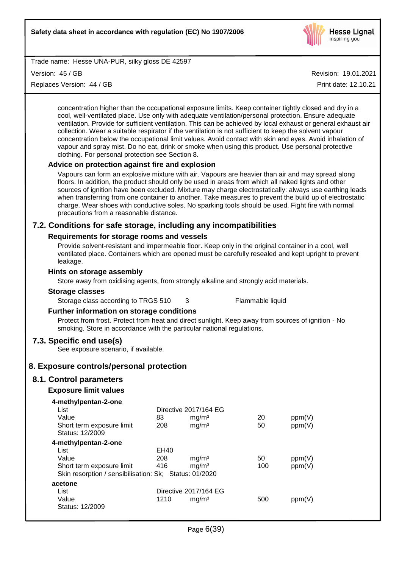

Version: 45 / GB

Replaces Version: 44 / GB

Revision: 19.01.2021

Print date: 12.10.21

concentration higher than the occupational exposure limits. Keep container tightly closed and dry in a cool, well-ventilated place. Use only with adequate ventilation/personal protection. Ensure adequate ventilation. Provide for sufficient ventilation. This can be achieved by local exhaust or general exhaust air collection. Wear a suitable respirator if the ventilation is not sufficient to keep the solvent vapour concentration below the occupational limit values. Avoid contact with skin and eyes. Avoid inhalation of vapour and spray mist. Do no eat, drink or smoke when using this product. Use personal protective clothing. For personal protection see Section 8.

# **Advice on protection against fire and explosion**

Vapours can form an explosive mixture with air. Vapours are heavier than air and may spread along floors. In addition, the product should only be used in areas from which all naked lights and other sources of ignition have been excluded. Mixture may charge electrostatically: always use earthing leads when transferring from one container to another. Take measures to prevent the build up of electrostatic charge. Wear shoes with conductive soles. No sparking tools should be used. Fight fire with normal precautions from a reasonable distance.

# **7.2. Conditions for safe storage, including any incompatibilities**

# **Requirements for storage rooms and vessels**

Provide solvent-resistant and impermeable floor. Keep only in the original container in a cool, well ventilated place. Containers which are opened must be carefully resealed and kept upright to prevent leakage.

## **Hints on storage assembly**

Store away from oxidising agents, from strongly alkaline and strongly acid materials.

#### **Storage classes**

Storage class according to TRGS 510 3 Flammable liquid

# **Further information on storage conditions**

Protect from frost. Protect from heat and direct sunlight. Keep away from sources of ignition - No smoking. Store in accordance with the particular national regulations.

# **7.3. Specific end use(s)**

See exposure scenario, if available.

# **8. Exposure controls/personal protection**

# **8.1. Control parameters**

# **Exposure limit values**

| 83   | mg/m <sup>3</sup> | 20                                                                                                       | ppm(V) |
|------|-------------------|----------------------------------------------------------------------------------------------------------|--------|
| 208  | mg/m <sup>3</sup> | 50                                                                                                       | ppm(V) |
|      |                   |                                                                                                          |        |
|      |                   |                                                                                                          |        |
| EH40 |                   |                                                                                                          |        |
| 208  | mg/m <sup>3</sup> | 50                                                                                                       | ppm(V) |
| 416  | mg/m <sup>3</sup> | 100                                                                                                      | ppm(V) |
|      |                   |                                                                                                          |        |
|      |                   |                                                                                                          |        |
|      |                   |                                                                                                          |        |
| 1210 | mq/m <sup>3</sup> | 500                                                                                                      | ppm(V) |
|      |                   |                                                                                                          |        |
|      |                   | Directive 2017/164 EG<br>Skin resorption / sensibilisation: Sk; Status: 01/2020<br>Directive 2017/164 EG |        |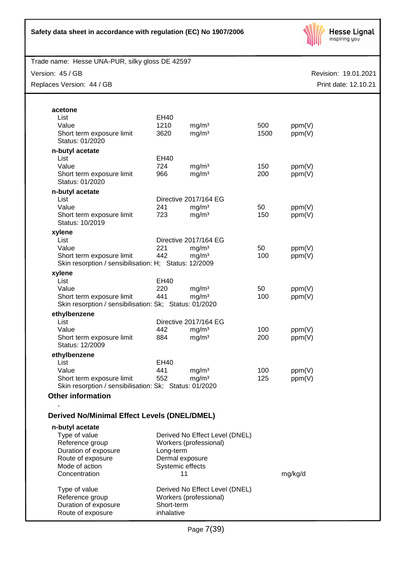

Version: 45 / GB

Replaces Version: 44 / GB

| acetone                                                                             |                  |                                |      |         |
|-------------------------------------------------------------------------------------|------------------|--------------------------------|------|---------|
| List                                                                                | EH40             |                                |      |         |
| Value                                                                               | 1210             | mg/m <sup>3</sup>              | 500  | ppm(V)  |
| Short term exposure limit                                                           | 3620             | mg/m <sup>3</sup>              | 1500 | ppm(V)  |
| Status: 01/2020                                                                     |                  |                                |      |         |
| n-butyl acetate                                                                     |                  |                                |      |         |
| List                                                                                | EH40             |                                |      |         |
| Value                                                                               | 724              | mg/m <sup>3</sup>              | 150  | ppm(V)  |
| Short term exposure limit<br>Status: 01/2020                                        | 966              | mg/m <sup>3</sup>              | 200  | ppm(V)  |
|                                                                                     |                  |                                |      |         |
| n-butyl acetate<br>List                                                             |                  | Directive 2017/164 EG          |      |         |
| Value                                                                               | 241              | mg/m <sup>3</sup>              | 50   | ppm(V)  |
| Short term exposure limit                                                           | 723              | mg/m <sup>3</sup>              | 150  | ppm(V)  |
| Status: 10/2019                                                                     |                  |                                |      |         |
| xylene                                                                              |                  |                                |      |         |
| List                                                                                |                  | Directive 2017/164 EG          |      |         |
| Value                                                                               | 221              | mg/m <sup>3</sup>              | 50   | ppm(V)  |
| Short term exposure limit                                                           | 442              | mg/m <sup>3</sup>              | 100  | ppm(V)  |
| Skin resorption / sensibilisation: H; Status: 12/2009                               |                  |                                |      |         |
| xylene                                                                              |                  |                                |      |         |
| List                                                                                | EH40             |                                |      |         |
| Value                                                                               | 220              | mg/m <sup>3</sup>              | 50   | ppm(V)  |
| Short term exposure limit<br>Skin resorption / sensibilisation: Sk; Status: 01/2020 | 441              | mg/m <sup>3</sup>              | 100  | ppm(V)  |
|                                                                                     |                  |                                |      |         |
| ethylbenzene<br>List                                                                |                  | Directive 2017/164 EG          |      |         |
| Value                                                                               | 442              | mg/m <sup>3</sup>              | 100  | ppm(V)  |
| Short term exposure limit                                                           | 884              | mg/m <sup>3</sup>              | 200  | ppm(V)  |
| Status: 12/2009                                                                     |                  |                                |      |         |
| ethylbenzene                                                                        |                  |                                |      |         |
| List                                                                                | EH40             |                                |      |         |
| Value                                                                               | 441              | mg/m <sup>3</sup>              | 100  | ppm(V)  |
| Short term exposure limit                                                           | 552              | mg/m <sup>3</sup>              | 125  | ppm(V)  |
| Skin resorption / sensibilisation: Sk; Status: 01/2020                              |                  |                                |      |         |
| <b>Other information</b>                                                            |                  |                                |      |         |
| <b>Derived No/Minimal Effect Levels (DNEL/DMEL)</b>                                 |                  |                                |      |         |
|                                                                                     |                  |                                |      |         |
| n-butyl acetate<br>Type of value                                                    |                  | Derived No Effect Level (DNEL) |      |         |
| Reference group                                                                     |                  | Workers (professional)         |      |         |
| Duration of exposure                                                                | Long-term        |                                |      |         |
| Route of exposure                                                                   | Dermal exposure  |                                |      |         |
| Mode of action                                                                      | Systemic effects |                                |      |         |
| Concentration                                                                       |                  | 11                             |      | mg/kg/d |
|                                                                                     |                  |                                |      |         |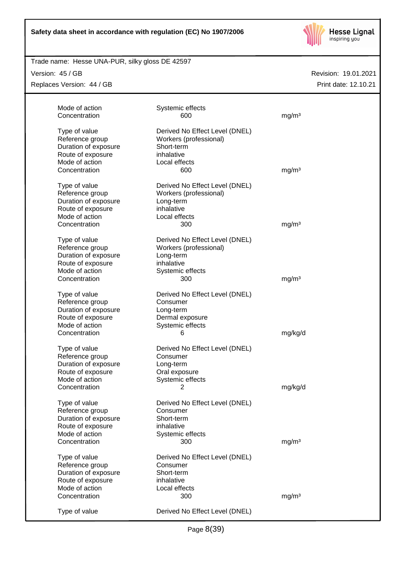

# Trade name: Hesse UNA-PUR, silky gloss DE 42597

Version: 45 / GB

Replaces Version: 44 / GB

| Mode of action<br>Concentration                                                                                  | Systemic effects<br>600                                                                                 | mg/m <sup>3</sup> |
|------------------------------------------------------------------------------------------------------------------|---------------------------------------------------------------------------------------------------------|-------------------|
| Type of value<br>Reference group<br>Duration of exposure                                                         | Derived No Effect Level (DNEL)<br>Workers (professional)<br>Short-term<br>inhalative                    |                   |
| Route of exposure<br>Mode of action<br>Concentration                                                             | Local effects<br>600                                                                                    | mg/m <sup>3</sup> |
| Type of value<br>Reference group<br>Duration of exposure                                                         | Derived No Effect Level (DNEL)<br>Workers (professional)<br>Long-term                                   |                   |
| Route of exposure<br>Mode of action                                                                              | inhalative<br>Local effects                                                                             |                   |
| Concentration                                                                                                    | 300                                                                                                     | mg/m <sup>3</sup> |
| Type of value<br>Reference group<br>Duration of exposure<br>Route of exposure<br>Mode of action                  | Derived No Effect Level (DNEL)<br>Workers (professional)<br>Long-term<br>inhalative<br>Systemic effects |                   |
| Concentration                                                                                                    | 300                                                                                                     | mg/m <sup>3</sup> |
| Type of value<br>Reference group<br>Duration of exposure<br>Route of exposure<br>Mode of action                  | Derived No Effect Level (DNEL)<br>Consumer<br>Long-term<br>Dermal exposure                              |                   |
| Concentration                                                                                                    | Systemic effects<br>6                                                                                   | mg/kg/d           |
| Type of value<br>Reference group<br>Duration of exposure<br>Route of exposure<br>Mode of action                  | Derived No Effect Level (DNEL)<br>Consumer<br>Long-term<br>Oral exposure<br>Systemic effects            |                   |
| Concentration                                                                                                    | 2                                                                                                       | mg/kg/d           |
| Type of value<br>Reference group<br>Duration of exposure<br>Route of exposure<br>Mode of action                  | Derived No Effect Level (DNEL)<br>Consumer<br>Short-term<br>inhalative<br>Systemic effects              |                   |
| Concentration                                                                                                    | 300                                                                                                     | mg/m <sup>3</sup> |
| Type of value<br>Reference group<br>Duration of exposure<br>Route of exposure<br>Mode of action<br>Concentration | Derived No Effect Level (DNEL)<br>Consumer<br>Short-term<br>inhalative<br>Local effects<br>300          | mg/m <sup>3</sup> |
| Type of value                                                                                                    | Derived No Effect Level (DNEL)                                                                          |                   |
|                                                                                                                  |                                                                                                         |                   |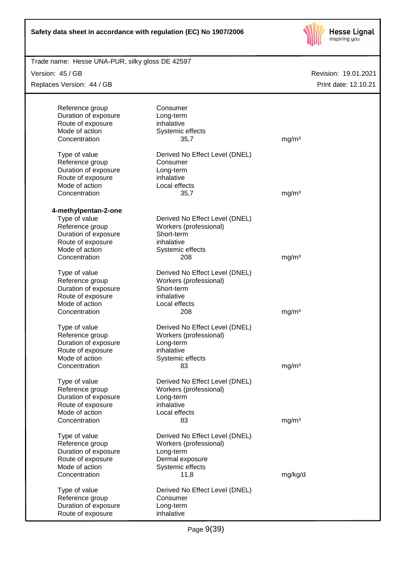

| Trade name: Hesse UNA-PUR, silky gloss DE 42597 |                                |                   |                      |
|-------------------------------------------------|--------------------------------|-------------------|----------------------|
| Version: 45 / GB                                |                                |                   | Revision: 19.01.2021 |
| Replaces Version: 44 / GB                       |                                |                   | Print date: 12.10.21 |
|                                                 |                                |                   |                      |
| Reference group                                 | Consumer                       |                   |                      |
| Duration of exposure                            | Long-term                      |                   |                      |
| Route of exposure                               | inhalative                     |                   |                      |
| Mode of action                                  | Systemic effects               |                   |                      |
| Concentration                                   | 35,7                           | mg/m <sup>3</sup> |                      |
| Type of value                                   | Derived No Effect Level (DNEL) |                   |                      |
| Reference group                                 | Consumer                       |                   |                      |
| Duration of exposure                            | Long-term                      |                   |                      |
| Route of exposure                               | inhalative                     |                   |                      |
| Mode of action                                  | Local effects                  |                   |                      |
| Concentration                                   | 35,7                           | mg/m <sup>3</sup> |                      |
| 4-methylpentan-2-one                            |                                |                   |                      |
| Type of value                                   | Derived No Effect Level (DNEL) |                   |                      |
| Reference group                                 | Workers (professional)         |                   |                      |
| Duration of exposure                            | Short-term                     |                   |                      |
| Route of exposure                               | inhalative                     |                   |                      |
| Mode of action                                  | Systemic effects               |                   |                      |
| Concentration                                   | 208                            | mg/m <sup>3</sup> |                      |
| Type of value                                   | Derived No Effect Level (DNEL) |                   |                      |
| Reference group                                 | Workers (professional)         |                   |                      |
| Duration of exposure                            | Short-term                     |                   |                      |
| Route of exposure                               | inhalative                     |                   |                      |
| Mode of action                                  | Local effects                  |                   |                      |
| Concentration                                   | 208                            | mg/m <sup>3</sup> |                      |
| Type of value                                   | Derived No Effect Level (DNEL) |                   |                      |
| Reference group                                 | Workers (professional)         |                   |                      |
| Duration of exposure                            | Long-term                      |                   |                      |
| Route of exposure                               | inhalative                     |                   |                      |
| Mode of action                                  | Systemic effects               |                   |                      |
| Concentration                                   | 83                             | mg/m <sup>3</sup> |                      |
| Type of value                                   | Derived No Effect Level (DNEL) |                   |                      |
| Reference group                                 | Workers (professional)         |                   |                      |
| Duration of exposure                            | Long-term                      |                   |                      |
| Route of exposure                               | inhalative                     |                   |                      |
| Mode of action                                  | Local effects                  |                   |                      |
| Concentration                                   | 83                             | mg/m <sup>3</sup> |                      |
| Type of value                                   | Derived No Effect Level (DNEL) |                   |                      |
| Reference group                                 | Workers (professional)         |                   |                      |
| Duration of exposure                            | Long-term                      |                   |                      |
| Route of exposure                               | Dermal exposure                |                   |                      |
| Mode of action                                  | Systemic effects               |                   |                      |
| Concentration                                   | 11,8                           | mg/kg/d           |                      |
| Type of value                                   | Derived No Effect Level (DNEL) |                   |                      |
| Reference group                                 | Consumer                       |                   |                      |
| Duration of exposure                            | Long-term                      |                   |                      |
| Route of exposure                               | inhalative                     |                   |                      |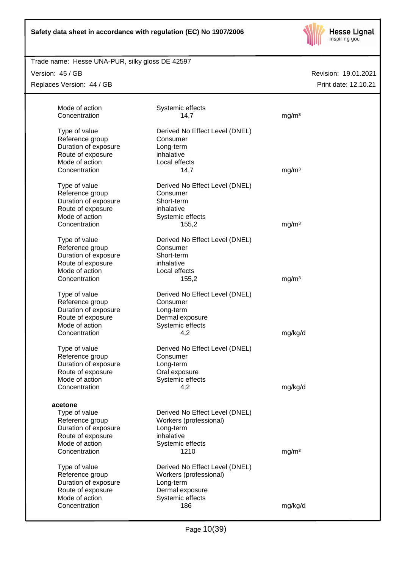

# Trade name: Hesse UNA-PUR, silky gloss DE 42597

Version: 45 / GB

Replaces Version: 44 / GB

| Mode of action<br>Concentration                                                                                             | Systemic effects<br>14,7                                                                                        | mg/m <sup>3</sup> |  |
|-----------------------------------------------------------------------------------------------------------------------------|-----------------------------------------------------------------------------------------------------------------|-------------------|--|
| Type of value<br>Reference group<br>Duration of exposure                                                                    | Derived No Effect Level (DNEL)<br>Consumer<br>Long-term                                                         |                   |  |
| Route of exposure<br>Mode of action                                                                                         | inhalative<br>Local effects                                                                                     |                   |  |
| Concentration                                                                                                               | 14,7                                                                                                            | mg/m <sup>3</sup> |  |
| Type of value<br>Reference group<br>Duration of exposure<br>Route of exposure                                               | Derived No Effect Level (DNEL)<br>Consumer<br>Short-term<br>inhalative                                          |                   |  |
| Mode of action                                                                                                              | Systemic effects                                                                                                |                   |  |
| Concentration                                                                                                               | 155,2                                                                                                           | mg/m <sup>3</sup> |  |
| Type of value<br>Reference group<br>Duration of exposure<br>Route of exposure<br>Mode of action                             | Derived No Effect Level (DNEL)<br>Consumer<br>Short-term<br>inhalative<br>Local effects                         |                   |  |
| Concentration                                                                                                               | 155,2                                                                                                           | mg/m <sup>3</sup> |  |
| Type of value<br>Reference group<br>Duration of exposure<br>Route of exposure                                               | Derived No Effect Level (DNEL)<br>Consumer<br>Long-term<br>Dermal exposure                                      |                   |  |
| Mode of action<br>Concentration                                                                                             | Systemic effects<br>4,2                                                                                         | mg/kg/d           |  |
| Type of value<br>Reference group<br>Duration of exposure<br>Route of exposure<br>Mode of action                             | Derived No Effect Level (DNEL)<br>Consumer<br>Long-term<br>Oral exposure<br>Systemic effects                    |                   |  |
| Concentration                                                                                                               | 4,2                                                                                                             | mg/kg/d           |  |
| acetone<br>Type of value<br>Reference group<br>Duration of exposure<br>Route of exposure<br>Mode of action<br>Concentration | Derived No Effect Level (DNEL)<br>Workers (professional)<br>Long-term<br>inhalative<br>Systemic effects<br>1210 | mg/m <sup>3</sup> |  |
| Type of value<br>Reference group<br>Duration of exposure<br>Route of exposure<br>Mode of action                             | Derived No Effect Level (DNEL)<br>Workers (professional)<br>Long-term<br>Dermal exposure<br>Systemic effects    |                   |  |
| Concentration                                                                                                               | 186                                                                                                             | mg/kg/d           |  |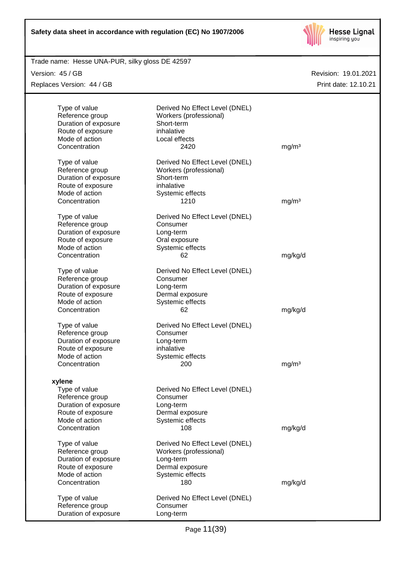

|  | Trade name: Hesse UNA-PUR, silky gloss DE 42597 |
|--|-------------------------------------------------|
|  |                                                 |

Version: 45 / GB

Replaces Version: 44 / GB

| Type of value<br>Reference group<br>Duration of exposure<br>Route of exposure<br>Mode of action<br>Concentration           | Derived No Effect Level (DNEL)<br>Workers (professional)<br>Short-term<br>inhalative<br>Local effects<br>2420       | mg/m <sup>3</sup> |  |
|----------------------------------------------------------------------------------------------------------------------------|---------------------------------------------------------------------------------------------------------------------|-------------------|--|
| Type of value<br>Reference group<br>Duration of exposure<br>Route of exposure<br>Mode of action<br>Concentration           | Derived No Effect Level (DNEL)<br>Workers (professional)<br>Short-term<br>inhalative<br>Systemic effects<br>1210    | mg/m <sup>3</sup> |  |
| Type of value<br>Reference group<br>Duration of exposure<br>Route of exposure<br>Mode of action<br>Concentration           | Derived No Effect Level (DNEL)<br>Consumer<br>Long-term<br>Oral exposure<br>Systemic effects<br>62                  | mg/kg/d           |  |
| Type of value<br>Reference group<br>Duration of exposure<br>Route of exposure<br>Mode of action<br>Concentration           | Derived No Effect Level (DNEL)<br>Consumer<br>Long-term<br>Dermal exposure<br>Systemic effects<br>62                | mg/kg/d           |  |
| Type of value<br>Reference group<br>Duration of exposure<br>Route of exposure<br>Mode of action<br>Concentration           | Derived No Effect Level (DNEL)<br>Consumer<br>Long-term<br>inhalative<br>Systemic effects<br>200                    | mg/m <sup>3</sup> |  |
| xylene<br>Type of value<br>Reference group<br>Duration of exposure<br>Route of exposure<br>Mode of action<br>Concentration | Derived No Effect Level (DNEL)<br>Consumer<br>Long-term<br>Dermal exposure<br>Systemic effects<br>108               | mg/kg/d           |  |
| Type of value<br>Reference group<br>Duration of exposure<br>Route of exposure<br>Mode of action<br>Concentration           | Derived No Effect Level (DNEL)<br>Workers (professional)<br>Long-term<br>Dermal exposure<br>Systemic effects<br>180 | mg/kg/d           |  |
| Type of value<br>Reference group<br>Duration of exposure                                                                   | Derived No Effect Level (DNEL)<br>Consumer<br>Long-term                                                             |                   |  |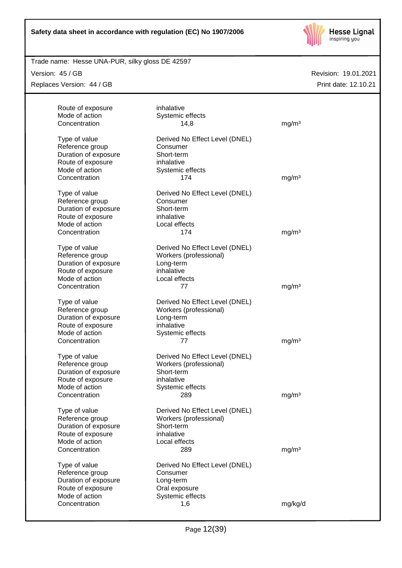

Trade name: Hesse UNA-PUR, silky gloss DE 42597

Version: 45 / GB

Replaces Version: 44 / GB

| Route of exposure<br>Mode of action<br>Concentration | inhalative<br>Systemic effects<br>14,8 | mg/m <sup>3</sup> |
|------------------------------------------------------|----------------------------------------|-------------------|
|                                                      |                                        |                   |
| Type of value                                        | Derived No Effect Level (DNEL)         |                   |
| Reference group<br>Duration of exposure              | Consumer<br>Short-term                 |                   |
| Route of exposure                                    | inhalative                             |                   |
| Mode of action                                       | Systemic effects                       |                   |
| Concentration                                        | 174                                    | mg/m <sup>3</sup> |
| Type of value                                        | Derived No Effect Level (DNEL)         |                   |
| Reference group                                      | Consumer                               |                   |
| Duration of exposure                                 | Short-term                             |                   |
| Route of exposure                                    | inhalative                             |                   |
| Mode of action                                       | Local effects                          |                   |
| Concentration                                        | 174                                    | mg/m <sup>3</sup> |
|                                                      |                                        |                   |
| Type of value                                        | Derived No Effect Level (DNEL)         |                   |
| Reference group<br>Duration of exposure              | Workers (professional)<br>Long-term    |                   |
| Route of exposure                                    | inhalative                             |                   |
| Mode of action                                       | Local effects                          |                   |
| Concentration                                        | 77                                     | mg/m <sup>3</sup> |
|                                                      |                                        |                   |
| Type of value                                        | Derived No Effect Level (DNEL)         |                   |
| Reference group                                      | Workers (professional)                 |                   |
| Duration of exposure                                 | Long-term                              |                   |
| Route of exposure                                    | inhalative                             |                   |
| Mode of action                                       | Systemic effects                       |                   |
| Concentration                                        | 77                                     | mg/m <sup>3</sup> |
| Type of value                                        | Derived No Effect Level (DNEL)         |                   |
| Reference group                                      | Workers (professional)                 |                   |
| Duration of exposure                                 | Short-term                             |                   |
| Route of exposure                                    | inhalative                             |                   |
| Mode of action                                       | Systemic effects                       |                   |
| Concentration                                        | 289                                    | mg/m <sup>3</sup> |
| Type of value                                        | Derived No Effect Level (DNEL)         |                   |
| Reference group                                      | Workers (professional)                 |                   |
| Duration of exposure                                 | Short-term                             |                   |
| Route of exposure                                    | inhalative                             |                   |
| Mode of action                                       | Local effects                          |                   |
| Concentration                                        | 289                                    | mg/m <sup>3</sup> |
| Type of value                                        | Derived No Effect Level (DNEL)         |                   |
| Reference group                                      | Consumer                               |                   |
| Duration of exposure                                 | Long-term                              |                   |
| Route of exposure                                    | Oral exposure                          |                   |
| Mode of action                                       | Systemic effects                       |                   |
| Concentration                                        | 1,6                                    | mg/kg/d           |
|                                                      |                                        |                   |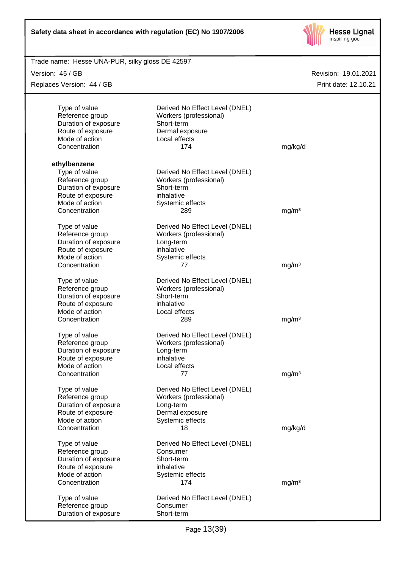

| Trade name: Hesse UNA-PUR, silky gloss DE 42597 |                                |                      |
|-------------------------------------------------|--------------------------------|----------------------|
| Version: 45 / GB                                |                                | Revision: 19.01.2021 |
| Replaces Version: 44 / GB                       |                                | Print date: 12.10.21 |
|                                                 |                                |                      |
| Type of value                                   | Derived No Effect Level (DNEL) |                      |
| Reference group                                 | Workers (professional)         |                      |
| Duration of exposure                            | Short-term                     |                      |
| Route of exposure                               | Dermal exposure                |                      |
| Mode of action                                  | Local effects                  |                      |
| Concentration                                   | 174                            | mg/kg/d              |
| ethylbenzene                                    |                                |                      |
| Type of value                                   | Derived No Effect Level (DNEL) |                      |
| Reference group                                 | Workers (professional)         |                      |
| Duration of exposure                            | Short-term                     |                      |
| Route of exposure                               | inhalative                     |                      |
| Mode of action                                  | Systemic effects               |                      |
| Concentration                                   | 289                            |                      |
|                                                 |                                | mg/m <sup>3</sup>    |
| Type of value                                   | Derived No Effect Level (DNEL) |                      |
| Reference group                                 | Workers (professional)         |                      |
| Duration of exposure                            | Long-term                      |                      |
| Route of exposure                               | inhalative                     |                      |
| Mode of action                                  | Systemic effects               |                      |
| Concentration                                   | 77                             | mg/m <sup>3</sup>    |
| Type of value                                   | Derived No Effect Level (DNEL) |                      |
| Reference group                                 | Workers (professional)         |                      |
| Duration of exposure                            | Short-term                     |                      |
|                                                 |                                |                      |
| Route of exposure                               | inhalative                     |                      |
| Mode of action                                  | Local effects                  |                      |
| Concentration                                   | 289                            | mg/m <sup>3</sup>    |
| Type of value                                   | Derived No Effect Level (DNEL) |                      |
| Reference group                                 | Workers (professional)         |                      |
| Duration of exposure                            | Long-term                      |                      |
| Route of exposure                               | inhalative                     |                      |
| Mode of action                                  | Local effects                  |                      |
| Concentration                                   | 77                             | mg/m <sup>3</sup>    |
| Type of value                                   | Derived No Effect Level (DNEL) |                      |
| Reference group                                 | Workers (professional)         |                      |
| Duration of exposure                            | Long-term                      |                      |
| Route of exposure                               | Dermal exposure                |                      |
| Mode of action                                  | Systemic effects               |                      |
| Concentration                                   | 18                             | mg/kg/d              |
|                                                 |                                |                      |
| Type of value                                   | Derived No Effect Level (DNEL) |                      |
| Reference group                                 | Consumer                       |                      |
| Duration of exposure                            | Short-term                     |                      |
| Route of exposure                               | inhalative                     |                      |
| Mode of action                                  | Systemic effects               |                      |
| Concentration                                   | 174                            | mg/m <sup>3</sup>    |
| Type of value                                   | Derived No Effect Level (DNEL) |                      |
| Reference group                                 | Consumer                       |                      |
| Duration of exposure                            | Short-term                     |                      |
|                                                 |                                |                      |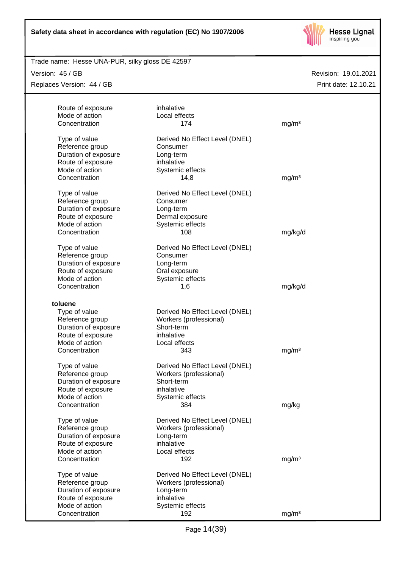

Trade name: Hesse UNA-PUR, silky gloss DE 42597

Version: 45 / GB

Replaces Version: 44 / GB

| Route of exposure<br>Mode of action<br>Concentration                                                                              | inhalative<br>Local effects<br>174                                                                              | mg/m <sup>3</sup>  |
|-----------------------------------------------------------------------------------------------------------------------------------|-----------------------------------------------------------------------------------------------------------------|--------------------|
| Type of value<br>Reference group<br>Duration of exposure<br>Route of exposure<br>Mode of action<br>Concentration                  | Derived No Effect Level (DNEL)<br>Consumer<br>Long-term<br>inhalative<br>Systemic effects<br>14,8               | mg/m <sup>3</sup>  |
| Type of value<br>Reference group<br>Duration of exposure<br>Route of exposure<br>Mode of action                                   | Derived No Effect Level (DNEL)<br>Consumer<br>Long-term<br>Dermal exposure<br>Systemic effects                  |                    |
| Concentration<br>Type of value<br>Reference group<br>Duration of exposure<br>Route of exposure<br>Mode of action<br>Concentration | 108<br>Derived No Effect Level (DNEL)<br>Consumer<br>Long-term<br>Oral exposure<br>Systemic effects<br>1,6      | mg/kg/d<br>mg/kg/d |
| toluene<br>Type of value<br>Reference group<br>Duration of exposure<br>Route of exposure<br>Mode of action<br>Concentration       | Derived No Effect Level (DNEL)<br>Workers (professional)<br>Short-term<br>inhalative<br>Local effects<br>343    | mg/m <sup>3</sup>  |
| Type of value<br>Reference group<br>Duration of exposure<br>Route of exposure<br>Mode of action<br>Concentration                  | Derived No Effect Level (DNEL)<br>Workers (professional)<br>Short-term<br>inhalative<br>Systemic effects<br>384 | mg/kg              |
| Type of value<br>Reference group<br>Duration of exposure<br>Route of exposure<br>Mode of action<br>Concentration                  | Derived No Effect Level (DNEL)<br>Workers (professional)<br>Long-term<br>inhalative<br>Local effects<br>192     | mg/m <sup>3</sup>  |
| Type of value<br>Reference group<br>Duration of exposure<br>Route of exposure<br>Mode of action<br>Concentration                  | Derived No Effect Level (DNEL)<br>Workers (professional)<br>Long-term<br>inhalative<br>Systemic effects<br>192  | mg/m <sup>3</sup>  |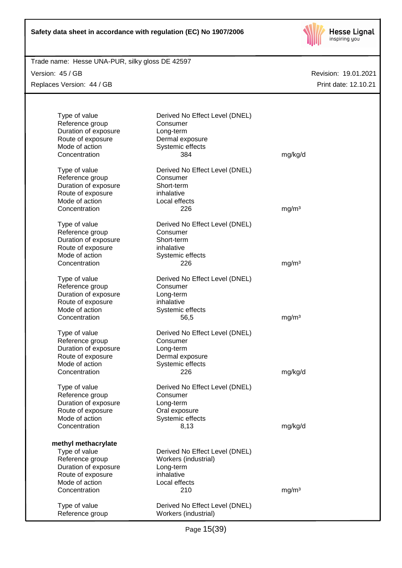

Trade name: Hesse UNA-PUR, silky gloss DE 42597

Version: 45 / GB Replaces Version: 44 / GB

| Type of value<br>Reference group<br>Duration of exposure<br>Route of exposure<br>Mode of action<br>Concentration                        | Derived No Effect Level (DNEL)<br>Consumer<br>Long-term<br>Dermal exposure<br>Systemic effects<br>384     | mg/kg/d           |
|-----------------------------------------------------------------------------------------------------------------------------------------|-----------------------------------------------------------------------------------------------------------|-------------------|
| Type of value<br>Reference group<br>Duration of exposure<br>Route of exposure<br>Mode of action<br>Concentration                        | Derived No Effect Level (DNEL)<br>Consumer<br>Short-term<br>inhalative<br>Local effects<br>226            | mg/m <sup>3</sup> |
| Type of value<br>Reference group<br>Duration of exposure<br>Route of exposure<br>Mode of action<br>Concentration                        | Derived No Effect Level (DNEL)<br>Consumer<br>Short-term<br>inhalative<br>Systemic effects<br>226         | mg/m <sup>3</sup> |
| Type of value<br>Reference group<br>Duration of exposure<br>Route of exposure<br>Mode of action<br>Concentration                        | Derived No Effect Level (DNEL)<br>Consumer<br>Long-term<br>inhalative<br>Systemic effects<br>56,5         | mg/m <sup>3</sup> |
| Type of value<br>Reference group<br>Duration of exposure<br>Route of exposure<br>Mode of action<br>Concentration                        | Derived No Effect Level (DNEL)<br>Consumer<br>Long-term<br>Dermal exposure<br>Systemic effects<br>226     | mg/kg/d           |
| Type of value<br>Reference group<br>Duration of exposure<br>Route of exposure<br>Mode of action<br>Concentration                        | Derived No Effect Level (DNEL)<br>Consumer<br>Long-term<br>Oral exposure<br>Systemic effects<br>8,13      | mg/kg/d           |
| methyl methacrylate<br>Type of value<br>Reference group<br>Duration of exposure<br>Route of exposure<br>Mode of action<br>Concentration | Derived No Effect Level (DNEL)<br>Workers (industrial)<br>Long-term<br>inhalative<br>Local effects<br>210 | mg/m <sup>3</sup> |
| Type of value<br>Reference group                                                                                                        | Derived No Effect Level (DNEL)<br>Workers (industrial)                                                    |                   |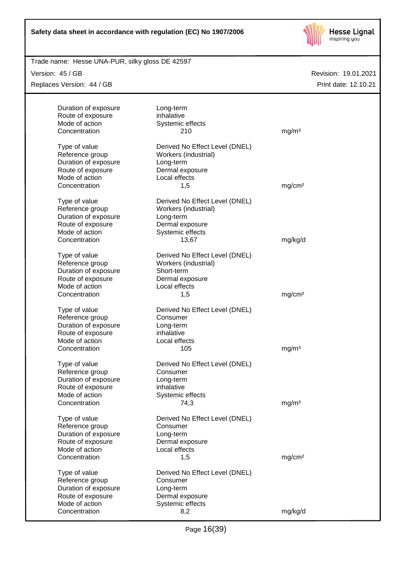

Trade name: Hesse UNA-PUR, silky gloss DE 42597

Version: 45 / GB

Replaces Version: 44 / GB

| Duration of exposure<br>Long-term<br>inhalative<br>Route of exposure<br>Mode of action<br>Systemic effects<br>Concentration<br>mg/m <sup>3</sup><br>210<br>Derived No Effect Level (DNEL)<br>Type of value<br>Reference group<br>Workers (industrial)<br>Duration of exposure<br>Long-term<br>Route of exposure<br>Dermal exposure<br>Mode of action<br>Local effects<br>Concentration<br>mg/cm <sup>2</sup><br>1,5<br>Type of value<br>Derived No Effect Level (DNEL)<br>Reference group<br>Workers (industrial)<br>Duration of exposure<br>Long-term<br>Route of exposure<br>Dermal exposure<br>Mode of action<br>Systemic effects<br>mg/kg/d<br>Concentration<br>13,67<br>Derived No Effect Level (DNEL)<br>Type of value<br>Reference group<br>Workers (industrial)<br>Duration of exposure<br>Short-term<br>Route of exposure<br>Dermal exposure<br>Mode of action<br>Local effects<br>mg/cm <sup>2</sup><br>Concentration<br>1,5<br>Type of value<br>Derived No Effect Level (DNEL)<br>Reference group<br>Consumer<br>Duration of exposure<br>Long-term<br>Route of exposure<br>inhalative<br>Mode of action<br>Local effects<br>Concentration<br>105<br>mg/m <sup>3</sup><br>Type of value<br>Derived No Effect Level (DNEL)<br>Reference group<br>Consumer<br>Duration of exposure<br>Long-term<br>inhalative<br>Route of exposure<br>Systemic effects<br>Mode of action<br>Concentration<br>74,3<br>mg/m <sup>3</sup><br>Type of value<br>Derived No Effect Level (DNEL)<br>Reference group<br>Consumer<br>Duration of exposure<br>Long-term<br>Route of exposure<br>Dermal exposure<br>Mode of action<br>Local effects<br>Concentration<br>mg/cm <sup>2</sup><br>1,5<br>Type of value<br>Derived No Effect Level (DNEL)<br>Reference group<br>Consumer<br>Duration of exposure<br>Long-term<br>Route of exposure<br>Dermal exposure<br>Mode of action<br>Systemic effects<br>Concentration<br>mg/kg/d<br>8,2 |  |  |
|------------------------------------------------------------------------------------------------------------------------------------------------------------------------------------------------------------------------------------------------------------------------------------------------------------------------------------------------------------------------------------------------------------------------------------------------------------------------------------------------------------------------------------------------------------------------------------------------------------------------------------------------------------------------------------------------------------------------------------------------------------------------------------------------------------------------------------------------------------------------------------------------------------------------------------------------------------------------------------------------------------------------------------------------------------------------------------------------------------------------------------------------------------------------------------------------------------------------------------------------------------------------------------------------------------------------------------------------------------------------------------------------------------------------------------------------------------------------------------------------------------------------------------------------------------------------------------------------------------------------------------------------------------------------------------------------------------------------------------------------------------------------------------------------------------------------------------------------------------------------------------------------------------------------|--|--|
|                                                                                                                                                                                                                                                                                                                                                                                                                                                                                                                                                                                                                                                                                                                                                                                                                                                                                                                                                                                                                                                                                                                                                                                                                                                                                                                                                                                                                                                                                                                                                                                                                                                                                                                                                                                                                                                                                                                        |  |  |
|                                                                                                                                                                                                                                                                                                                                                                                                                                                                                                                                                                                                                                                                                                                                                                                                                                                                                                                                                                                                                                                                                                                                                                                                                                                                                                                                                                                                                                                                                                                                                                                                                                                                                                                                                                                                                                                                                                                        |  |  |
|                                                                                                                                                                                                                                                                                                                                                                                                                                                                                                                                                                                                                                                                                                                                                                                                                                                                                                                                                                                                                                                                                                                                                                                                                                                                                                                                                                                                                                                                                                                                                                                                                                                                                                                                                                                                                                                                                                                        |  |  |
|                                                                                                                                                                                                                                                                                                                                                                                                                                                                                                                                                                                                                                                                                                                                                                                                                                                                                                                                                                                                                                                                                                                                                                                                                                                                                                                                                                                                                                                                                                                                                                                                                                                                                                                                                                                                                                                                                                                        |  |  |
|                                                                                                                                                                                                                                                                                                                                                                                                                                                                                                                                                                                                                                                                                                                                                                                                                                                                                                                                                                                                                                                                                                                                                                                                                                                                                                                                                                                                                                                                                                                                                                                                                                                                                                                                                                                                                                                                                                                        |  |  |
|                                                                                                                                                                                                                                                                                                                                                                                                                                                                                                                                                                                                                                                                                                                                                                                                                                                                                                                                                                                                                                                                                                                                                                                                                                                                                                                                                                                                                                                                                                                                                                                                                                                                                                                                                                                                                                                                                                                        |  |  |
|                                                                                                                                                                                                                                                                                                                                                                                                                                                                                                                                                                                                                                                                                                                                                                                                                                                                                                                                                                                                                                                                                                                                                                                                                                                                                                                                                                                                                                                                                                                                                                                                                                                                                                                                                                                                                                                                                                                        |  |  |
|                                                                                                                                                                                                                                                                                                                                                                                                                                                                                                                                                                                                                                                                                                                                                                                                                                                                                                                                                                                                                                                                                                                                                                                                                                                                                                                                                                                                                                                                                                                                                                                                                                                                                                                                                                                                                                                                                                                        |  |  |
|                                                                                                                                                                                                                                                                                                                                                                                                                                                                                                                                                                                                                                                                                                                                                                                                                                                                                                                                                                                                                                                                                                                                                                                                                                                                                                                                                                                                                                                                                                                                                                                                                                                                                                                                                                                                                                                                                                                        |  |  |
|                                                                                                                                                                                                                                                                                                                                                                                                                                                                                                                                                                                                                                                                                                                                                                                                                                                                                                                                                                                                                                                                                                                                                                                                                                                                                                                                                                                                                                                                                                                                                                                                                                                                                                                                                                                                                                                                                                                        |  |  |
|                                                                                                                                                                                                                                                                                                                                                                                                                                                                                                                                                                                                                                                                                                                                                                                                                                                                                                                                                                                                                                                                                                                                                                                                                                                                                                                                                                                                                                                                                                                                                                                                                                                                                                                                                                                                                                                                                                                        |  |  |
|                                                                                                                                                                                                                                                                                                                                                                                                                                                                                                                                                                                                                                                                                                                                                                                                                                                                                                                                                                                                                                                                                                                                                                                                                                                                                                                                                                                                                                                                                                                                                                                                                                                                                                                                                                                                                                                                                                                        |  |  |
|                                                                                                                                                                                                                                                                                                                                                                                                                                                                                                                                                                                                                                                                                                                                                                                                                                                                                                                                                                                                                                                                                                                                                                                                                                                                                                                                                                                                                                                                                                                                                                                                                                                                                                                                                                                                                                                                                                                        |  |  |
|                                                                                                                                                                                                                                                                                                                                                                                                                                                                                                                                                                                                                                                                                                                                                                                                                                                                                                                                                                                                                                                                                                                                                                                                                                                                                                                                                                                                                                                                                                                                                                                                                                                                                                                                                                                                                                                                                                                        |  |  |
|                                                                                                                                                                                                                                                                                                                                                                                                                                                                                                                                                                                                                                                                                                                                                                                                                                                                                                                                                                                                                                                                                                                                                                                                                                                                                                                                                                                                                                                                                                                                                                                                                                                                                                                                                                                                                                                                                                                        |  |  |
|                                                                                                                                                                                                                                                                                                                                                                                                                                                                                                                                                                                                                                                                                                                                                                                                                                                                                                                                                                                                                                                                                                                                                                                                                                                                                                                                                                                                                                                                                                                                                                                                                                                                                                                                                                                                                                                                                                                        |  |  |
|                                                                                                                                                                                                                                                                                                                                                                                                                                                                                                                                                                                                                                                                                                                                                                                                                                                                                                                                                                                                                                                                                                                                                                                                                                                                                                                                                                                                                                                                                                                                                                                                                                                                                                                                                                                                                                                                                                                        |  |  |
|                                                                                                                                                                                                                                                                                                                                                                                                                                                                                                                                                                                                                                                                                                                                                                                                                                                                                                                                                                                                                                                                                                                                                                                                                                                                                                                                                                                                                                                                                                                                                                                                                                                                                                                                                                                                                                                                                                                        |  |  |
|                                                                                                                                                                                                                                                                                                                                                                                                                                                                                                                                                                                                                                                                                                                                                                                                                                                                                                                                                                                                                                                                                                                                                                                                                                                                                                                                                                                                                                                                                                                                                                                                                                                                                                                                                                                                                                                                                                                        |  |  |
|                                                                                                                                                                                                                                                                                                                                                                                                                                                                                                                                                                                                                                                                                                                                                                                                                                                                                                                                                                                                                                                                                                                                                                                                                                                                                                                                                                                                                                                                                                                                                                                                                                                                                                                                                                                                                                                                                                                        |  |  |
|                                                                                                                                                                                                                                                                                                                                                                                                                                                                                                                                                                                                                                                                                                                                                                                                                                                                                                                                                                                                                                                                                                                                                                                                                                                                                                                                                                                                                                                                                                                                                                                                                                                                                                                                                                                                                                                                                                                        |  |  |
|                                                                                                                                                                                                                                                                                                                                                                                                                                                                                                                                                                                                                                                                                                                                                                                                                                                                                                                                                                                                                                                                                                                                                                                                                                                                                                                                                                                                                                                                                                                                                                                                                                                                                                                                                                                                                                                                                                                        |  |  |
|                                                                                                                                                                                                                                                                                                                                                                                                                                                                                                                                                                                                                                                                                                                                                                                                                                                                                                                                                                                                                                                                                                                                                                                                                                                                                                                                                                                                                                                                                                                                                                                                                                                                                                                                                                                                                                                                                                                        |  |  |
|                                                                                                                                                                                                                                                                                                                                                                                                                                                                                                                                                                                                                                                                                                                                                                                                                                                                                                                                                                                                                                                                                                                                                                                                                                                                                                                                                                                                                                                                                                                                                                                                                                                                                                                                                                                                                                                                                                                        |  |  |
|                                                                                                                                                                                                                                                                                                                                                                                                                                                                                                                                                                                                                                                                                                                                                                                                                                                                                                                                                                                                                                                                                                                                                                                                                                                                                                                                                                                                                                                                                                                                                                                                                                                                                                                                                                                                                                                                                                                        |  |  |
|                                                                                                                                                                                                                                                                                                                                                                                                                                                                                                                                                                                                                                                                                                                                                                                                                                                                                                                                                                                                                                                                                                                                                                                                                                                                                                                                                                                                                                                                                                                                                                                                                                                                                                                                                                                                                                                                                                                        |  |  |
|                                                                                                                                                                                                                                                                                                                                                                                                                                                                                                                                                                                                                                                                                                                                                                                                                                                                                                                                                                                                                                                                                                                                                                                                                                                                                                                                                                                                                                                                                                                                                                                                                                                                                                                                                                                                                                                                                                                        |  |  |
|                                                                                                                                                                                                                                                                                                                                                                                                                                                                                                                                                                                                                                                                                                                                                                                                                                                                                                                                                                                                                                                                                                                                                                                                                                                                                                                                                                                                                                                                                                                                                                                                                                                                                                                                                                                                                                                                                                                        |  |  |
|                                                                                                                                                                                                                                                                                                                                                                                                                                                                                                                                                                                                                                                                                                                                                                                                                                                                                                                                                                                                                                                                                                                                                                                                                                                                                                                                                                                                                                                                                                                                                                                                                                                                                                                                                                                                                                                                                                                        |  |  |
|                                                                                                                                                                                                                                                                                                                                                                                                                                                                                                                                                                                                                                                                                                                                                                                                                                                                                                                                                                                                                                                                                                                                                                                                                                                                                                                                                                                                                                                                                                                                                                                                                                                                                                                                                                                                                                                                                                                        |  |  |
|                                                                                                                                                                                                                                                                                                                                                                                                                                                                                                                                                                                                                                                                                                                                                                                                                                                                                                                                                                                                                                                                                                                                                                                                                                                                                                                                                                                                                                                                                                                                                                                                                                                                                                                                                                                                                                                                                                                        |  |  |
|                                                                                                                                                                                                                                                                                                                                                                                                                                                                                                                                                                                                                                                                                                                                                                                                                                                                                                                                                                                                                                                                                                                                                                                                                                                                                                                                                                                                                                                                                                                                                                                                                                                                                                                                                                                                                                                                                                                        |  |  |
|                                                                                                                                                                                                                                                                                                                                                                                                                                                                                                                                                                                                                                                                                                                                                                                                                                                                                                                                                                                                                                                                                                                                                                                                                                                                                                                                                                                                                                                                                                                                                                                                                                                                                                                                                                                                                                                                                                                        |  |  |
|                                                                                                                                                                                                                                                                                                                                                                                                                                                                                                                                                                                                                                                                                                                                                                                                                                                                                                                                                                                                                                                                                                                                                                                                                                                                                                                                                                                                                                                                                                                                                                                                                                                                                                                                                                                                                                                                                                                        |  |  |
|                                                                                                                                                                                                                                                                                                                                                                                                                                                                                                                                                                                                                                                                                                                                                                                                                                                                                                                                                                                                                                                                                                                                                                                                                                                                                                                                                                                                                                                                                                                                                                                                                                                                                                                                                                                                                                                                                                                        |  |  |
|                                                                                                                                                                                                                                                                                                                                                                                                                                                                                                                                                                                                                                                                                                                                                                                                                                                                                                                                                                                                                                                                                                                                                                                                                                                                                                                                                                                                                                                                                                                                                                                                                                                                                                                                                                                                                                                                                                                        |  |  |
|                                                                                                                                                                                                                                                                                                                                                                                                                                                                                                                                                                                                                                                                                                                                                                                                                                                                                                                                                                                                                                                                                                                                                                                                                                                                                                                                                                                                                                                                                                                                                                                                                                                                                                                                                                                                                                                                                                                        |  |  |
|                                                                                                                                                                                                                                                                                                                                                                                                                                                                                                                                                                                                                                                                                                                                                                                                                                                                                                                                                                                                                                                                                                                                                                                                                                                                                                                                                                                                                                                                                                                                                                                                                                                                                                                                                                                                                                                                                                                        |  |  |
|                                                                                                                                                                                                                                                                                                                                                                                                                                                                                                                                                                                                                                                                                                                                                                                                                                                                                                                                                                                                                                                                                                                                                                                                                                                                                                                                                                                                                                                                                                                                                                                                                                                                                                                                                                                                                                                                                                                        |  |  |
|                                                                                                                                                                                                                                                                                                                                                                                                                                                                                                                                                                                                                                                                                                                                                                                                                                                                                                                                                                                                                                                                                                                                                                                                                                                                                                                                                                                                                                                                                                                                                                                                                                                                                                                                                                                                                                                                                                                        |  |  |
|                                                                                                                                                                                                                                                                                                                                                                                                                                                                                                                                                                                                                                                                                                                                                                                                                                                                                                                                                                                                                                                                                                                                                                                                                                                                                                                                                                                                                                                                                                                                                                                                                                                                                                                                                                                                                                                                                                                        |  |  |
|                                                                                                                                                                                                                                                                                                                                                                                                                                                                                                                                                                                                                                                                                                                                                                                                                                                                                                                                                                                                                                                                                                                                                                                                                                                                                                                                                                                                                                                                                                                                                                                                                                                                                                                                                                                                                                                                                                                        |  |  |
|                                                                                                                                                                                                                                                                                                                                                                                                                                                                                                                                                                                                                                                                                                                                                                                                                                                                                                                                                                                                                                                                                                                                                                                                                                                                                                                                                                                                                                                                                                                                                                                                                                                                                                                                                                                                                                                                                                                        |  |  |
|                                                                                                                                                                                                                                                                                                                                                                                                                                                                                                                                                                                                                                                                                                                                                                                                                                                                                                                                                                                                                                                                                                                                                                                                                                                                                                                                                                                                                                                                                                                                                                                                                                                                                                                                                                                                                                                                                                                        |  |  |
|                                                                                                                                                                                                                                                                                                                                                                                                                                                                                                                                                                                                                                                                                                                                                                                                                                                                                                                                                                                                                                                                                                                                                                                                                                                                                                                                                                                                                                                                                                                                                                                                                                                                                                                                                                                                                                                                                                                        |  |  |
|                                                                                                                                                                                                                                                                                                                                                                                                                                                                                                                                                                                                                                                                                                                                                                                                                                                                                                                                                                                                                                                                                                                                                                                                                                                                                                                                                                                                                                                                                                                                                                                                                                                                                                                                                                                                                                                                                                                        |  |  |
|                                                                                                                                                                                                                                                                                                                                                                                                                                                                                                                                                                                                                                                                                                                                                                                                                                                                                                                                                                                                                                                                                                                                                                                                                                                                                                                                                                                                                                                                                                                                                                                                                                                                                                                                                                                                                                                                                                                        |  |  |
|                                                                                                                                                                                                                                                                                                                                                                                                                                                                                                                                                                                                                                                                                                                                                                                                                                                                                                                                                                                                                                                                                                                                                                                                                                                                                                                                                                                                                                                                                                                                                                                                                                                                                                                                                                                                                                                                                                                        |  |  |
|                                                                                                                                                                                                                                                                                                                                                                                                                                                                                                                                                                                                                                                                                                                                                                                                                                                                                                                                                                                                                                                                                                                                                                                                                                                                                                                                                                                                                                                                                                                                                                                                                                                                                                                                                                                                                                                                                                                        |  |  |
|                                                                                                                                                                                                                                                                                                                                                                                                                                                                                                                                                                                                                                                                                                                                                                                                                                                                                                                                                                                                                                                                                                                                                                                                                                                                                                                                                                                                                                                                                                                                                                                                                                                                                                                                                                                                                                                                                                                        |  |  |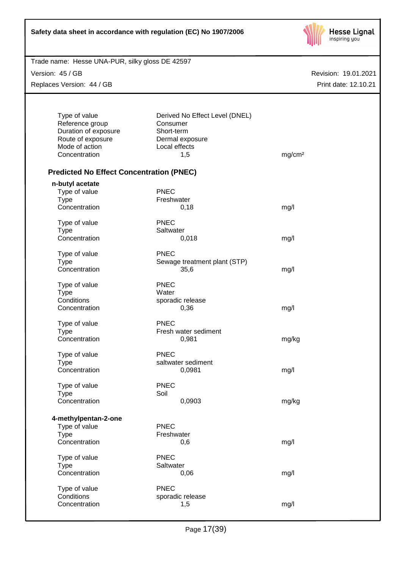| Safety data sheet in accordance with regulation (EC) No 1907/2006 |  |
|-------------------------------------------------------------------|--|
|-------------------------------------------------------------------|--|



Version: 45 / GB

Replaces Version: 44 / GB

| Type of value<br>Reference group                | Derived No Effect Level (DNEL)<br>Consumer |                    |
|-------------------------------------------------|--------------------------------------------|--------------------|
| Duration of exposure                            | Short-term                                 |                    |
| Route of exposure                               | Dermal exposure                            |                    |
| Mode of action                                  | Local effects                              |                    |
| Concentration                                   | 1,5                                        | mg/cm <sup>2</sup> |
|                                                 |                                            |                    |
| <b>Predicted No Effect Concentration (PNEC)</b> |                                            |                    |
| n-butyl acetate                                 |                                            |                    |
| Type of value                                   | <b>PNEC</b>                                |                    |
| <b>Type</b>                                     | Freshwater                                 |                    |
| Concentration                                   | 0,18                                       | mg/l               |
| Type of value                                   | <b>PNEC</b>                                |                    |
| <b>Type</b>                                     | Saltwater                                  |                    |
| Concentration                                   | 0,018                                      | mg/l               |
|                                                 |                                            |                    |
| Type of value                                   | <b>PNEC</b>                                |                    |
| <b>Type</b><br>Concentration                    | Sewage treatment plant (STP)               |                    |
|                                                 | 35,6                                       | mg/l               |
| Type of value                                   | <b>PNEC</b>                                |                    |
| <b>Type</b>                                     | Water                                      |                    |
| Conditions                                      | sporadic release                           |                    |
| Concentration                                   | 0,36                                       | mg/l               |
| Type of value                                   | <b>PNEC</b>                                |                    |
| <b>Type</b>                                     | Fresh water sediment                       |                    |
| Concentration                                   | 0,981                                      | mg/kg              |
| Type of value                                   | <b>PNEC</b>                                |                    |
| <b>Type</b>                                     | saltwater sediment                         |                    |
| Concentration                                   | 0,0981                                     | mg/l               |
|                                                 |                                            |                    |
| Type of value                                   | <b>PNEC</b>                                |                    |
| <b>Type</b>                                     | Soil                                       |                    |
| Concentration                                   | 0,0903                                     | mg/kg              |
| 4-methylpentan-2-one                            |                                            |                    |
| Type of value                                   | <b>PNEC</b>                                |                    |
| <b>Type</b>                                     | Freshwater                                 |                    |
| Concentration                                   | 0,6                                        | mg/l               |
| Type of value                                   | PNEC                                       |                    |
| <b>Type</b>                                     | Saltwater                                  |                    |
| Concentration                                   | 0,06                                       | mg/l               |
|                                                 |                                            |                    |
| Type of value                                   | <b>PNEC</b>                                |                    |
| Conditions                                      | sporadic release                           |                    |
| Concentration                                   | 1,5                                        | mg/l               |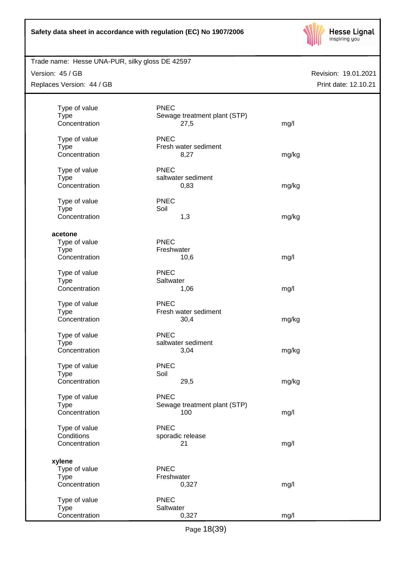

# Trade name: Hesse UNA-PUR, silky gloss DE 42597

Version: 45 / GB

Replaces Version: 44 / GB

| Type of value<br><b>Type</b><br>Concentration           | <b>PNEC</b><br>Sewage treatment plant (STP)<br>27,5 | mg/l  |
|---------------------------------------------------------|-----------------------------------------------------|-------|
| Type of value<br><b>Type</b><br>Concentration           | <b>PNEC</b><br>Fresh water sediment<br>8,27         | mg/kg |
| Type of value<br><b>Type</b><br>Concentration           | <b>PNEC</b><br>saltwater sediment<br>0,83           | mg/kg |
| Type of value<br><b>Type</b><br>Concentration           | <b>PNEC</b><br>Soil<br>1,3                          | mg/kg |
| acetone<br>Type of value<br><b>Type</b>                 | <b>PNEC</b><br>Freshwater                           |       |
| Concentration<br>Type of value                          | 10,6<br><b>PNEC</b>                                 | mg/l  |
| <b>Type</b><br>Concentration                            | Saltwater<br>1,06                                   | mg/l  |
| Type of value<br><b>Type</b><br>Concentration           | <b>PNEC</b><br>Fresh water sediment<br>30,4         | mg/kg |
| Type of value<br><b>Type</b><br>Concentration           | <b>PNEC</b><br>saltwater sediment<br>3,04           | mg/kg |
| Type of value<br><b>Type</b><br>Concentration           | <b>PNEC</b><br>Soil<br>29,5                         | mg/kg |
| Type of value<br><b>Type</b><br>Concentration           | <b>PNEC</b><br>Sewage treatment plant (STP)<br>100  | mg/l  |
| Type of value<br>Conditions<br>Concentration            | <b>PNEC</b><br>sporadic release<br>21               | mg/l  |
| xylene<br>Type of value<br><b>Type</b><br>Concentration | <b>PNEC</b><br>Freshwater<br>0,327                  | mg/l  |
| Type of value<br><b>Type</b><br>Concentration           | <b>PNEC</b><br>Saltwater<br>0,327                   | mg/l  |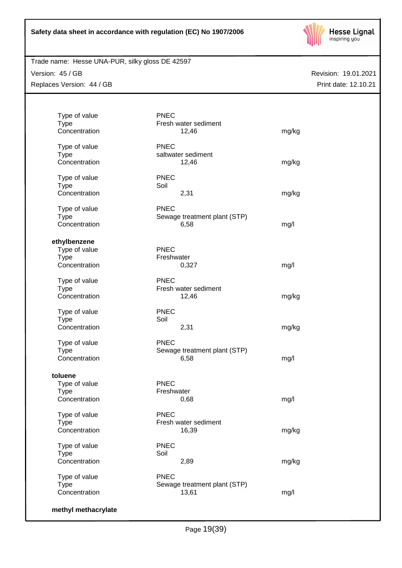

Trade name: Hesse UNA-PUR, silky gloss DE 42597

Version: 45 / GB Replaces Version: 44 / GB

| Type of value<br><b>Type</b> | <b>PNEC</b><br>Fresh water sediment |       |
|------------------------------|-------------------------------------|-------|
| Concentration                | 12,46                               | mg/kg |
| Type of value                | <b>PNEC</b>                         |       |
| <b>Type</b>                  | saltwater sediment                  |       |
| Concentration                | 12,46                               | mg/kg |
| Type of value                | <b>PNEC</b>                         |       |
| <b>Type</b>                  | Soil                                |       |
| Concentration                | 2,31                                | mg/kg |
| Type of value                | <b>PNEC</b>                         |       |
| <b>Type</b>                  | Sewage treatment plant (STP)        |       |
| Concentration                | 6,58                                | mg/l  |
| ethylbenzene                 |                                     |       |
| Type of value                | <b>PNEC</b>                         |       |
| <b>Type</b>                  | Freshwater                          |       |
| Concentration                | 0,327                               | mg/l  |
| Type of value                | <b>PNEC</b>                         |       |
| <b>Type</b>                  | Fresh water sediment                |       |
| Concentration                | 12,46                               | mg/kg |
| Type of value                | <b>PNEC</b>                         |       |
| <b>Type</b>                  | Soil                                |       |
| Concentration                | 2,31                                | mg/kg |
| Type of value                | <b>PNEC</b>                         |       |
| <b>Type</b>                  | Sewage treatment plant (STP)        |       |
| Concentration                | 6,58                                | mg/l  |
| toluene                      |                                     |       |
| Type of value                | <b>PNEC</b>                         |       |
| <b>Type</b>                  | Freshwater                          |       |
| Concentration                | 0,68                                | mg/l  |
| Type of value                | <b>PNEC</b>                         |       |
| <b>Type</b>                  | Fresh water sediment                |       |
| Concentration                | 16,39                               | mg/kg |
| Type of value                | <b>PNEC</b>                         |       |
| <b>Type</b>                  | Soil                                |       |
| Concentration                | 2,89                                | mg/kg |
| Type of value                | <b>PNEC</b>                         |       |
| <b>Type</b>                  | Sewage treatment plant (STP)        |       |
| Concentration                | 13,61                               | mg/l  |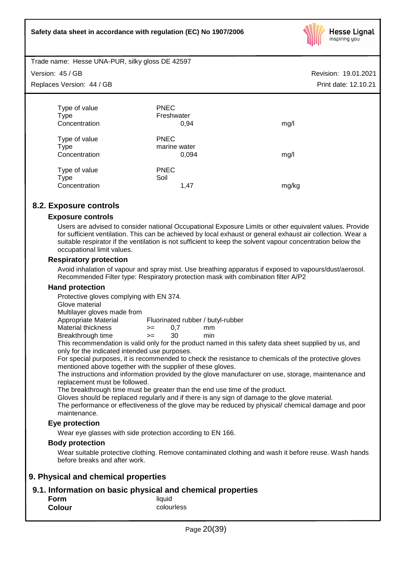

Trade name: Hesse UNA-PUR, silky gloss DE 42597

Version: 45 / GB

Replaces Version: 44 / GB

| Type of value | <b>PNEC</b>  |       |
|---------------|--------------|-------|
| <b>Type</b>   | Freshwater   |       |
| Concentration | 0,94         | mg/l  |
| Type of value | <b>PNEC</b>  |       |
| <b>Type</b>   | marine water |       |
| Concentration | 0,094        | mg/l  |
| Type of value | <b>PNEC</b>  |       |
| Type          | Soil         |       |
| Concentration | 1.47         | mg/kg |

# **8.2. Exposure controls**

# **Exposure controls**

Users are advised to consider national Occupational Exposure Limits or other equivalent values. Provide for sufficient ventilation. This can be achieved by local exhaust or general exhaust air collection. Wear a suitable respirator if the ventilation is not sufficient to keep the solvent vapour concentration below the occupational limit values.

## **Respiratory protection**

Avoid inhalation of vapour and spray mist. Use breathing apparatus if exposed to vapours/dust/aerosol. Recommended Filter type: Respiratory protection mask with combination filter A/P2

# **Hand protection**

Protective gloves complying with EN 374.

Glove material

Multilayer gloves made from

Appropriate Material Fluorinated rubber / butyl-rubber

Material thickness  $\rightarrow$  = 0.7 mm Breakthrough time >= 30 min

This recommendation is valid only for the product named in this safety data sheet supplied by us, and only for the indicated intended use purposes.

For special purposes, it is recommended to check the resistance to chemicals of the protective gloves mentioned above together with the supplier of these gloves.

The instructions and information provided by the glove manufacturer on use, storage, maintenance and replacement must be followed.

The breakthrough time must be greater than the end use time of the product.

Gloves should be replaced regularly and if there is any sign of damage to the glove material.

The performance or effectiveness of the glove may be reduced by physical/ chemical damage and poor maintenance.

# **Eye protection**

Wear eye glasses with side protection according to EN 166.

# **Body protection**

Wear suitable protective clothing. Remove contaminated clothing and wash it before reuse. Wash hands before breaks and after work.

# **9. Physical and chemical properties**

# **9.1. Information on basic physical and chemical properties**

| Form          | liquid     |
|---------------|------------|
| <b>Colour</b> | colourless |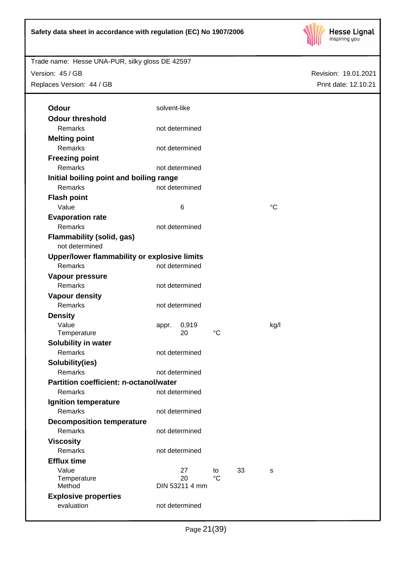

Revision: 19.01.2021

Print date: 12.10.21

Trade name: Hesse UNA-PUR, silky gloss DE 42597 Version: 45 / GB

Replaces Version: 44 / GB

| Odour                                         | solvent-like |                      |                   |    |             |
|-----------------------------------------------|--------------|----------------------|-------------------|----|-------------|
| <b>Odour threshold</b>                        |              |                      |                   |    |             |
| Remarks                                       |              | not determined       |                   |    |             |
| <b>Melting point</b>                          |              |                      |                   |    |             |
| Remarks                                       |              | not determined       |                   |    |             |
| <b>Freezing point</b>                         |              |                      |                   |    |             |
| <b>Remarks</b>                                |              | not determined       |                   |    |             |
| Initial boiling point and boiling range       |              |                      |                   |    |             |
| Remarks                                       |              | not determined       |                   |    |             |
| <b>Flash point</b>                            |              |                      |                   |    |             |
| Value                                         |              | 6                    |                   |    | $^{\circ}C$ |
| <b>Evaporation rate</b>                       |              |                      |                   |    |             |
| Remarks                                       |              | not determined       |                   |    |             |
| <b>Flammability (solid, gas)</b>              |              |                      |                   |    |             |
| not determined                                |              |                      |                   |    |             |
| Upper/lower flammability or explosive limits  |              |                      |                   |    |             |
| Remarks                                       |              | not determined       |                   |    |             |
| Vapour pressure                               |              |                      |                   |    |             |
| Remarks                                       |              | not determined       |                   |    |             |
| <b>Vapour density</b>                         |              |                      |                   |    |             |
| Remarks                                       |              | not determined       |                   |    |             |
| <b>Density</b>                                |              |                      |                   |    |             |
| Value                                         | appr.        | 0,919                |                   |    | kg/l        |
| Temperature                                   |              | 20                   | $^{\circ}C$       |    |             |
| Solubility in water                           |              |                      |                   |    |             |
| Remarks                                       |              | not determined       |                   |    |             |
| Solubility(ies)                               |              |                      |                   |    |             |
| <b>Remarks</b>                                |              | not determined       |                   |    |             |
| <b>Partition coefficient: n-octanol/water</b> |              |                      |                   |    |             |
| Remarks                                       |              | not determined       |                   |    |             |
| <b>Ignition temperature</b>                   |              |                      |                   |    |             |
| Remarks                                       |              | not determined       |                   |    |             |
| <b>Decomposition temperature</b>              |              |                      |                   |    |             |
| Remarks                                       |              | not determined       |                   |    |             |
| <b>Viscosity</b>                              |              |                      |                   |    |             |
| Remarks                                       |              | not determined       |                   |    |             |
| <b>Efflux time</b>                            |              |                      |                   |    |             |
| Value                                         |              | 27                   | to<br>$^{\circ}C$ | 33 | s           |
| Temperature<br>Method                         |              | 20<br>DIN 53211 4 mm |                   |    |             |
| <b>Explosive properties</b>                   |              |                      |                   |    |             |
| evaluation                                    |              | not determined       |                   |    |             |
|                                               |              |                      |                   |    |             |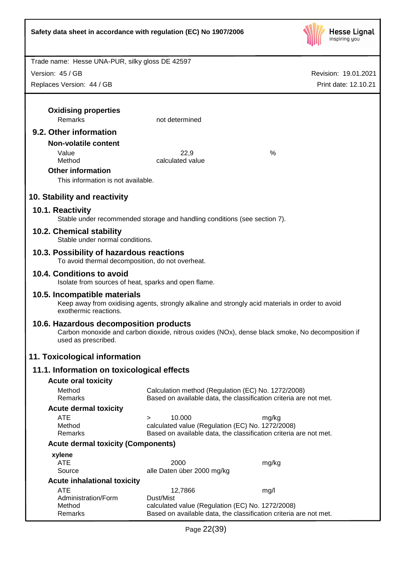

Revision: 19.01.2021

Trade name: Hesse UNA-PUR, silky gloss DE 42597

Version: 45 / GB

| Replaces Version: 44 / GB                                                         |                                                                                                                       | Print date: 12.10.21                                                                             |
|-----------------------------------------------------------------------------------|-----------------------------------------------------------------------------------------------------------------------|--------------------------------------------------------------------------------------------------|
|                                                                                   |                                                                                                                       |                                                                                                  |
| <b>Oxidising properties</b>                                                       |                                                                                                                       |                                                                                                  |
| <b>Remarks</b>                                                                    | not determined                                                                                                        |                                                                                                  |
| 9.2. Other information                                                            |                                                                                                                       |                                                                                                  |
| <b>Non-volatile content</b>                                                       |                                                                                                                       |                                                                                                  |
| Value                                                                             | 22,9                                                                                                                  | %                                                                                                |
| Method                                                                            | calculated value                                                                                                      |                                                                                                  |
| <b>Other information</b>                                                          |                                                                                                                       |                                                                                                  |
| This information is not available.                                                |                                                                                                                       |                                                                                                  |
| 10. Stability and reactivity                                                      |                                                                                                                       |                                                                                                  |
| 10.1. Reactivity                                                                  |                                                                                                                       |                                                                                                  |
|                                                                                   | Stable under recommended storage and handling conditions (see section 7).                                             |                                                                                                  |
| 10.2. Chemical stability                                                          |                                                                                                                       |                                                                                                  |
| Stable under normal conditions.                                                   |                                                                                                                       |                                                                                                  |
| 10.3. Possibility of hazardous reactions                                          |                                                                                                                       |                                                                                                  |
| To avoid thermal decomposition, do not overheat.                                  |                                                                                                                       |                                                                                                  |
| 10.4. Conditions to avoid<br>Isolate from sources of heat, sparks and open flame. |                                                                                                                       |                                                                                                  |
| 10.5. Incompatible materials                                                      |                                                                                                                       |                                                                                                  |
| exothermic reactions.                                                             | Keep away from oxidising agents, strongly alkaline and strongly acid materials in order to avoid                      |                                                                                                  |
| 10.6. Hazardous decomposition products<br>used as prescribed.                     |                                                                                                                       | Carbon monoxide and carbon dioxide, nitrous oxides (NOx), dense black smoke, No decomposition if |
| 11. Toxicological information                                                     |                                                                                                                       |                                                                                                  |
| 11.1. Information on toxicological effects                                        |                                                                                                                       |                                                                                                  |
|                                                                                   |                                                                                                                       |                                                                                                  |
| <b>Acute oral toxicity</b><br>Method                                              | Calculation method (Regulation (EC) No. 1272/2008)                                                                    |                                                                                                  |
| Remarks                                                                           | Based on available data, the classification criteria are not met.                                                     |                                                                                                  |
| <b>Acute dermal toxicity</b>                                                      |                                                                                                                       |                                                                                                  |
| <b>ATE</b>                                                                        | 10.000<br>$\geq$                                                                                                      | mg/kg                                                                                            |
| Method                                                                            | calculated value (Regulation (EC) No. 1272/2008)                                                                      |                                                                                                  |
| Remarks                                                                           | Based on available data, the classification criteria are not met.                                                     |                                                                                                  |
| <b>Acute dermal toxicity (Components)</b>                                         |                                                                                                                       |                                                                                                  |
| xylene<br><b>ATE</b>                                                              | 2000                                                                                                                  | mg/kg                                                                                            |
| Source                                                                            | alle Daten über 2000 mg/kg                                                                                            |                                                                                                  |
| <b>Acute inhalational toxicity</b>                                                |                                                                                                                       |                                                                                                  |
| <b>ATE</b>                                                                        | 12,7866                                                                                                               | mg/l                                                                                             |
| Administration/Form                                                               | Dust/Mist                                                                                                             |                                                                                                  |
| Method<br>Remarks                                                                 | calculated value (Regulation (EC) No. 1272/2008)<br>Based on available data, the classification criteria are not met. |                                                                                                  |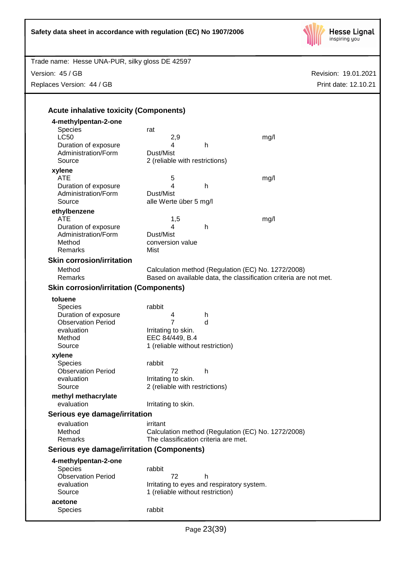Trade name: Hesse UNA-PUR, silky gloss DE 42597



Revision: 19.01.2021

Print date: 12.10.21

Version: 45 / GB Replaces Version: 44 / GB **Acute inhalative toxicity (Components) 4-methylpentan-2-one** Species rat<br>LC50 LC50 2,9 mg/l Duration of exposure **4** h Administration/Form Dust/Mist Source 2 (reliable with restrictions) **xylene** ATE 5 mg/l Duration of exposure 4 h Administration/Form Dust/Mist Source alle Werte über 5 mg/l **ethylbenzene** ATE 1,5 mg/l Duration of exposure 14 h Administration/Form Dust/Mist Method **conversion value** Remarks Mist **Skin corrosion/irritation** Method Calculation method (Regulation (EC) No. 1272/2008)<br>Remarks Based on available data, the classification criteria are Based on available data, the classification criteria are not met. **Skin corrosion/irritation (Components) toluene** Species rabbit Duration of exposure 4 h Observation Period 7 d evaluation Irritating to skin.<br>Method EEC 84/449, B.4 EEC 84/449, B.4 Source 1 (reliable without restriction) **xylene** Species rabbit Observation Period 72 h evaluation **I**rritating to skin. Source 2 (reliable with restrictions) **methyl methacrylate** evaluation **I**rritating to skin. **Serious eye damage/irritation** evaluation irritant Method Calculation method (Regulation (EC) No. 1272/2008) Remarks The classification criteria are met.

# **Serious eye damage/irritation (Components)**

**4-methylpentan-2-one**

| 4-methylpentan-2-one      |                                            |
|---------------------------|--------------------------------------------|
| <b>Species</b>            | rabbit                                     |
| <b>Observation Period</b> | 72                                         |
| evaluation                | Irritating to eyes and respiratory system. |
| Source                    | 1 (reliable without restriction)           |
| acetone                   |                                            |
| <b>Species</b>            | rabbit                                     |
|                           |                                            |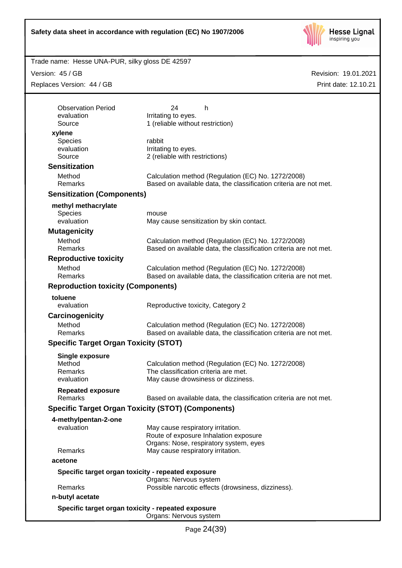

Trade name: Hesse UNA-PUR, silky gloss DE 42597

Version: 45 / GB

Replaces Version: 44 / GB

| <b>Observation Period</b>                    | 24<br>h                                                                    |
|----------------------------------------------|----------------------------------------------------------------------------|
| evaluation<br>Source                         | Irritating to eyes.<br>1 (reliable without restriction)                    |
|                                              |                                                                            |
| xylene<br><b>Species</b>                     | rabbit                                                                     |
| evaluation                                   | Irritating to eyes.                                                        |
| Source                                       | 2 (reliable with restrictions)                                             |
| <b>Sensitization</b>                         |                                                                            |
| Method                                       | Calculation method (Regulation (EC) No. 1272/2008)                         |
| Remarks                                      | Based on available data, the classification criteria are not met.          |
| <b>Sensitization (Components)</b>            |                                                                            |
| methyl methacrylate                          |                                                                            |
| Species                                      | mouse                                                                      |
| evaluation                                   | May cause sensitization by skin contact.                                   |
| <b>Mutagenicity</b>                          |                                                                            |
| Method                                       | Calculation method (Regulation (EC) No. 1272/2008)                         |
| Remarks                                      | Based on available data, the classification criteria are not met.          |
| <b>Reproductive toxicity</b>                 |                                                                            |
| Method                                       | Calculation method (Regulation (EC) No. 1272/2008)                         |
| <b>Remarks</b>                               | Based on available data, the classification criteria are not met.          |
| <b>Reproduction toxicity (Components)</b>    |                                                                            |
| toluene                                      |                                                                            |
| evaluation                                   | Reproductive toxicity, Category 2                                          |
| Carcinogenicity                              |                                                                            |
| Method                                       | Calculation method (Regulation (EC) No. 1272/2008)                         |
| Remarks                                      | Based on available data, the classification criteria are not met.          |
| <b>Specific Target Organ Toxicity (STOT)</b> |                                                                            |
| <b>Single exposure</b>                       |                                                                            |
| Method                                       | Calculation method (Regulation (EC) No. 1272/2008)                         |
| Remarks                                      | The classification criteria are met.                                       |
| evaluation                                   | May cause drowsiness or dizziness.                                         |
| <b>Repeated exposure</b><br><b>Remarks</b>   | Based on available data, the classification criteria are not met.          |
|                                              |                                                                            |
|                                              | <b>Specific Target Organ Toxicity (STOT) (Components)</b>                  |
| 4-methylpentan-2-one                         |                                                                            |
| evaluation                                   | May cause respiratory irritation.<br>Route of exposure Inhalation exposure |
|                                              | Organs: Nose, respiratory system, eyes                                     |
| Remarks                                      | May cause respiratory irritation.                                          |
| acetone                                      |                                                                            |
|                                              | Specific target organ toxicity - repeated exposure                         |
|                                              | Organs: Nervous system                                                     |
| Remarks                                      | Possible narcotic effects (drowsiness, dizziness).                         |
| n-butyl acetate                              |                                                                            |
|                                              | Specific target organ toxicity - repeated exposure                         |
|                                              | Organs: Nervous system                                                     |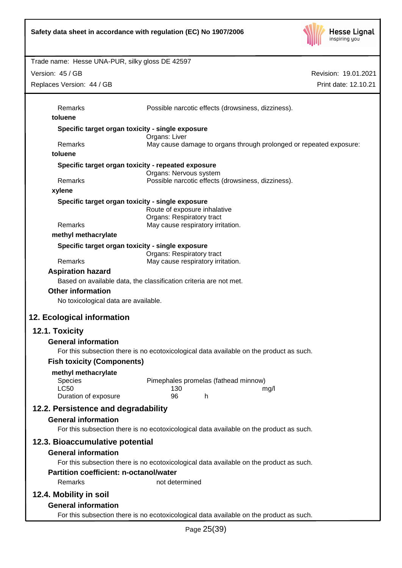

Revision: 19.01.2021 Trade name: Hesse UNA-PUR, silky gloss DE 42597 Print date: 12.10.21 Version: 45 / GB Replaces Version: 44 / GB Remarks Possible narcotic effects (drowsiness, dizziness). **toluene Specific target organ toxicity - single exposure** Organs: Liver Remarks May cause damage to organs through prolonged or repeated exposure: **toluene Specific target organ toxicity - repeated exposure** Organs: Nervous system Remarks Possible narcotic effects (drowsiness, dizziness). **xylene Specific target organ toxicity - single exposure** Route of exposure inhalative Organs: Respiratory tract Remarks May cause respiratory irritation. **methyl methacrylate Specific target organ toxicity - single exposure** Organs: Respiratory tract Remarks May cause respiratory irritation. **Aspiration hazard** Based on available data, the classification criteria are not met. **Other information** No toxicological data are available. **12. Ecological information 12.1. Toxicity General information** For this subsection there is no ecotoxicological data available on the product as such. **Fish toxicity (Components) methyl methacrylate** Species Pimephales promelas (fathead minnow) LC50 130 mg/l Duration of exposure 96 h **12.2. Persistence and degradability General information** For this subsection there is no ecotoxicological data available on the product as such. **12.3. Bioaccumulative potential General information** For this subsection there is no ecotoxicological data available on the product as such. **Partition coefficient: n-octanol/water** Remarks not determined **12.4. Mobility in soil General information** For this subsection there is no ecotoxicological data available on the product as such.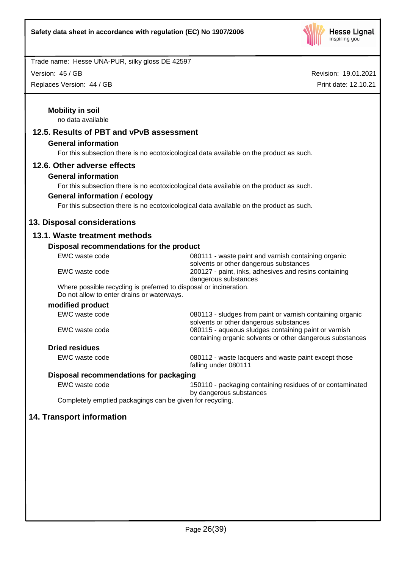

Version: 45 / GB

Replaces Version: 44 / GB

| 12.5. Results of PBT and vPvB assessment                  |                                                                                                                         |
|-----------------------------------------------------------|-------------------------------------------------------------------------------------------------------------------------|
| <b>General information</b>                                |                                                                                                                         |
|                                                           | For this subsection there is no ecotoxicological data available on the product as such.                                 |
| 12.6. Other adverse effects                               |                                                                                                                         |
| <b>General information</b>                                |                                                                                                                         |
|                                                           | For this subsection there is no ecotoxicological data available on the product as such.                                 |
| <b>General information / ecology</b>                      |                                                                                                                         |
|                                                           | For this subsection there is no ecotoxicological data available on the product as such.                                 |
| 13. Disposal considerations                               |                                                                                                                         |
| 13.1. Waste treatment methods                             |                                                                                                                         |
| Disposal recommendations for the product                  |                                                                                                                         |
| EWC waste code                                            | 080111 - waste paint and varnish containing organic                                                                     |
| EWC waste code                                            | solvents or other dangerous substances<br>200127 - paint, inks, adhesives and resins containing<br>dangerous substances |
| Do not allow to enter drains or waterways.                | Where possible recycling is preferred to disposal or incineration.                                                      |
| modified product                                          |                                                                                                                         |
| EWC waste code                                            | 080113 - sludges from paint or varnish containing organic<br>solvents or other dangerous substances                     |
| EWC waste code                                            | 080115 - aqueous sludges containing paint or varnish<br>containing organic solvents or other dangerous substances       |
| <b>Dried residues</b>                                     |                                                                                                                         |
| EWC waste code                                            | 080112 - waste lacquers and waste paint except those<br>falling under 080111                                            |
| Disposal recommendations for packaging                    |                                                                                                                         |
| EWC waste code                                            | 150110 - packaging containing residues of or contaminated<br>by dangerous substances                                    |
| Completely emptied packagings can be given for recycling. |                                                                                                                         |
| 14. Transport information                                 |                                                                                                                         |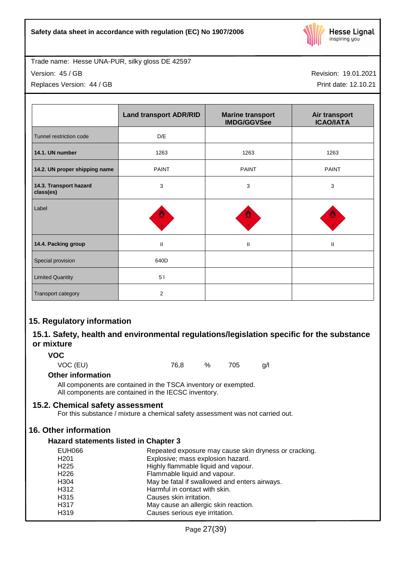

Version: 45 / GB

Replaces Version: 44 / GB

Revision: 19.01.2021

Print date: 12.10.21

|                                     | <b>Land transport ADR/RID</b> | <b>Marine transport</b><br><b>IMDG/GGVSee</b> | Air transport<br><b>ICAO/IATA</b> |
|-------------------------------------|-------------------------------|-----------------------------------------------|-----------------------------------|
| Tunnel restriction code             | D/E                           |                                               |                                   |
| 14.1. UN number                     | 1263                          | 1263                                          | 1263                              |
| 14.2. UN proper shipping name       | <b>PAINT</b>                  | <b>PAINT</b>                                  | <b>PAINT</b>                      |
| 14.3. Transport hazard<br>class(es) | 3                             | 3                                             | 3                                 |
| Label                               | ≝                             |                                               |                                   |
| 14.4. Packing group                 | $\mathbf{I}$                  | $\mathbf{II}$                                 | Ш                                 |
| Special provision                   | 640D                          |                                               |                                   |
| <b>Limited Quantity</b>             | 51                            |                                               |                                   |
| Transport category                  | $\overline{2}$                |                                               |                                   |

# **15. Regulatory information**

# **15.1. Safety, health and environmental regulations/legislation specific for the substance or mixture**

**VOC**

VOC (EU) 76,8 % 705 g/l

# **Other information**

All components are contained in the TSCA inventory or exempted. All components are contained in the IECSC inventory.

# **15.2. Chemical safety assessment**

For this substance / mixture a chemical safety assessment was not carried out.

# **16. Other information**

# **Hazard statements listed in Chapter 3**

| <b>EUH066</b>    | Repeated exposure may cause skin dryness or cracking. |
|------------------|-------------------------------------------------------|
| H <sub>201</sub> | Explosive; mass explosion hazard.                     |
| H <sub>225</sub> | Highly flammable liquid and vapour.                   |
| H <sub>226</sub> | Flammable liquid and vapour.                          |
| H304             | May be fatal if swallowed and enters airways.         |
| H312             | Harmful in contact with skin.                         |
| H315             | Causes skin irritation.                               |
| H317             | May cause an allergic skin reaction.                  |
| H319             | Causes serious eye irritation.                        |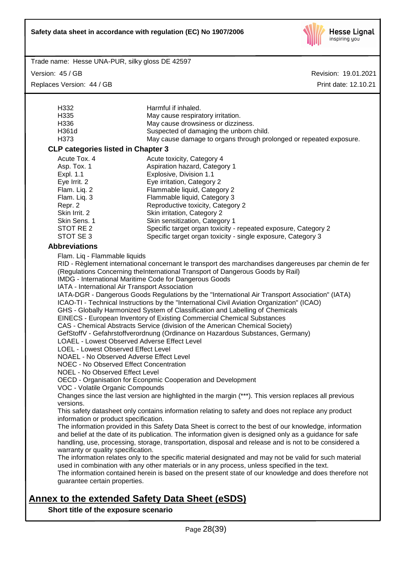

Version: 45 / GB

Replaces Version: 44 / GB

Revision: 19.01.2021 Print date: 12.10.21

|                                                                                                        | Harmful if inhaled.                                                                                                                                                                          |  |  |  |  |  |
|--------------------------------------------------------------------------------------------------------|----------------------------------------------------------------------------------------------------------------------------------------------------------------------------------------------|--|--|--|--|--|
| H332<br>H335<br>May cause respiratory irritation.                                                      |                                                                                                                                                                                              |  |  |  |  |  |
| H336                                                                                                   | May cause drowsiness or dizziness.                                                                                                                                                           |  |  |  |  |  |
| H361d                                                                                                  | Suspected of damaging the unborn child.                                                                                                                                                      |  |  |  |  |  |
| H373                                                                                                   | May cause damage to organs through prolonged or repeated exposure.                                                                                                                           |  |  |  |  |  |
| <b>CLP categories listed in Chapter 3</b>                                                              |                                                                                                                                                                                              |  |  |  |  |  |
| Acute Tox. 4                                                                                           | Acute toxicity, Category 4                                                                                                                                                                   |  |  |  |  |  |
| Asp. Tox. 1                                                                                            | Aspiration hazard, Category 1                                                                                                                                                                |  |  |  |  |  |
| Expl. 1.1                                                                                              | Explosive, Division 1.1                                                                                                                                                                      |  |  |  |  |  |
| Eye Irrit. 2                                                                                           | Eye irritation, Category 2                                                                                                                                                                   |  |  |  |  |  |
| Flam. Liq. 2                                                                                           | Flammable liquid, Category 2                                                                                                                                                                 |  |  |  |  |  |
| Flam. Liq. 3                                                                                           | Flammable liquid, Category 3                                                                                                                                                                 |  |  |  |  |  |
| Repr. 2                                                                                                | Reproductive toxicity, Category 2                                                                                                                                                            |  |  |  |  |  |
| Skin Irrit. 2                                                                                          | Skin irritation, Category 2                                                                                                                                                                  |  |  |  |  |  |
| Skin Sens. 1                                                                                           | Skin sensitization, Category 1                                                                                                                                                               |  |  |  |  |  |
| STOT RE 2                                                                                              | Specific target organ toxicity - repeated exposure, Category 2                                                                                                                               |  |  |  |  |  |
| STOT SE 3                                                                                              | Specific target organ toxicity - single exposure, Category 3                                                                                                                                 |  |  |  |  |  |
| <b>Abbreviations</b>                                                                                   |                                                                                                                                                                                              |  |  |  |  |  |
| Flam. Liq - Flammable liquids                                                                          |                                                                                                                                                                                              |  |  |  |  |  |
|                                                                                                        | RID - Règlement international concernant le transport des marchandises dangereuses par chemin de fer                                                                                         |  |  |  |  |  |
|                                                                                                        | (Regulations Concerning theInternational Transport of Dangerous Goods by Rail)                                                                                                               |  |  |  |  |  |
|                                                                                                        | IMDG - International Maritime Code for Dangerous Goods                                                                                                                                       |  |  |  |  |  |
| IATA - International Air Transport Association                                                         |                                                                                                                                                                                              |  |  |  |  |  |
|                                                                                                        | IATA-DGR - Dangerous Goods Regulations by the "International Air Transport Association" (IATA)<br>ICAO-TI - Technical Instructions by the "International Civil Aviation Organization" (ICAO) |  |  |  |  |  |
|                                                                                                        | GHS - Globally Harmonized System of Classification and Labelling of Chemicals                                                                                                                |  |  |  |  |  |
|                                                                                                        | EINECS - European Inventory of Existing Commercial Chemical Substances                                                                                                                       |  |  |  |  |  |
|                                                                                                        | CAS - Chemical Abstracts Service (division of the American Chemical Society)                                                                                                                 |  |  |  |  |  |
|                                                                                                        | GefStoffV - Gefahrstoffverordnung (Ordinance on Hazardous Substances, Germany)                                                                                                               |  |  |  |  |  |
| <b>LOAEL - Lowest Observed Adverse Effect Level</b>                                                    |                                                                                                                                                                                              |  |  |  |  |  |
|                                                                                                        | LOEL - Lowest Observed Effect Level                                                                                                                                                          |  |  |  |  |  |
| NOAEL - No Observed Adverse Effect Level                                                               |                                                                                                                                                                                              |  |  |  |  |  |
|                                                                                                        | <b>NOEC - No Observed Effect Concentration</b>                                                                                                                                               |  |  |  |  |  |
| <b>NOEL - No Observed Effect Level</b>                                                                 |                                                                                                                                                                                              |  |  |  |  |  |
| OECD - Organisation for Econpmic Cooperation and Development                                           |                                                                                                                                                                                              |  |  |  |  |  |
| VOC - Volatile Organic Compounds                                                                       |                                                                                                                                                                                              |  |  |  |  |  |
| Changes since the last version are highlighted in the margin (***). This version replaces all previous |                                                                                                                                                                                              |  |  |  |  |  |
| versions.                                                                                              |                                                                                                                                                                                              |  |  |  |  |  |
|                                                                                                        | This safety datasheet only contains information relating to safety and does not replace any product                                                                                          |  |  |  |  |  |
| information or product specification.                                                                  | The information provided in this Safety Data Sheet is correct to the best of our knowledge, information                                                                                      |  |  |  |  |  |
|                                                                                                        | and belief at the date of its publication. The information given is designed only as a guidance for safe                                                                                     |  |  |  |  |  |
|                                                                                                        | handling, use, processing, storage, transportation, disposal and release and is not to be considered a                                                                                       |  |  |  |  |  |
| warranty or quality specification.                                                                     |                                                                                                                                                                                              |  |  |  |  |  |
|                                                                                                        | The information relates only to the specific material designated and may not be valid for such material                                                                                      |  |  |  |  |  |
|                                                                                                        | used in combination with any other materials or in any process, unless specified in the text.                                                                                                |  |  |  |  |  |
|                                                                                                        | The information contained herein is based on the present state of our knowledge and does therefore not                                                                                       |  |  |  |  |  |
| guarantee certain properties.                                                                          |                                                                                                                                                                                              |  |  |  |  |  |
|                                                                                                        |                                                                                                                                                                                              |  |  |  |  |  |

# **Annex to the extended Safety Data Sheet (eSDS)**

**Short title of the exposure scenario**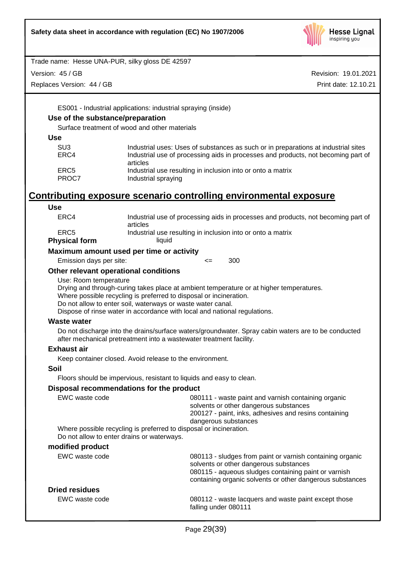

Version: 45 / GB

Replaces Version: 44 / GB

Revision: 19.01.2021 Print date: 12.10.21

ES001 - Industrial applications: industrial spraying (inside)

# **Use of the substance/preparation**

Surface treatment of wood and other materials

**Use**

| Industrial uses: Uses of substances as such or in preparations at industrial sites |
|------------------------------------------------------------------------------------|
| Industrial use of processing aids in processes and products, not becoming part of  |
| articles                                                                           |
| Industrial use resulting in inclusion into or onto a matrix                        |
| Industrial spraying                                                                |
|                                                                                    |

# **Contributing exposure scenario controlling environmental exposure**

| <b>Use</b>                                 |                                                                                                                                                                                                                                                                                                           |  |  |  |  |
|--------------------------------------------|-----------------------------------------------------------------------------------------------------------------------------------------------------------------------------------------------------------------------------------------------------------------------------------------------------------|--|--|--|--|
| ERC4                                       | Industrial use of processing aids in processes and products, not becoming part of<br>articles                                                                                                                                                                                                             |  |  |  |  |
| ERC <sub>5</sub>                           | Industrial use resulting in inclusion into or onto a matrix                                                                                                                                                                                                                                               |  |  |  |  |
| <b>Physical form</b>                       | liquid                                                                                                                                                                                                                                                                                                    |  |  |  |  |
|                                            | Maximum amount used per time or activity                                                                                                                                                                                                                                                                  |  |  |  |  |
| Emission days per site:                    | 300<br>$\leq$                                                                                                                                                                                                                                                                                             |  |  |  |  |
| Other relevant operational conditions      |                                                                                                                                                                                                                                                                                                           |  |  |  |  |
| Use: Room temperature                      | Drying and through-curing takes place at ambient temperature or at higher temperatures.<br>Where possible recycling is preferred to disposal or incineration.<br>Do not allow to enter soil, waterways or waste water canal.<br>Dispose of rinse water in accordance with local and national regulations. |  |  |  |  |
| <b>Waste water</b>                         |                                                                                                                                                                                                                                                                                                           |  |  |  |  |
|                                            | Do not discharge into the drains/surface waters/groundwater. Spray cabin waters are to be conducted<br>after mechanical pretreatment into a wastewater treatment facility.                                                                                                                                |  |  |  |  |
| <b>Exhaust air</b>                         |                                                                                                                                                                                                                                                                                                           |  |  |  |  |
|                                            | Keep container closed. Avoid release to the environment.                                                                                                                                                                                                                                                  |  |  |  |  |
| Soil                                       |                                                                                                                                                                                                                                                                                                           |  |  |  |  |
|                                            | Floors should be impervious, resistant to liquids and easy to clean.                                                                                                                                                                                                                                      |  |  |  |  |
|                                            | Disposal recommendations for the product                                                                                                                                                                                                                                                                  |  |  |  |  |
| EWC waste code                             | 080111 - waste paint and varnish containing organic<br>solvents or other dangerous substances<br>200127 - paint, inks, adhesives and resins containing<br>dangerous substances                                                                                                                            |  |  |  |  |
| Do not allow to enter drains or waterways. | Where possible recycling is preferred to disposal or incineration.                                                                                                                                                                                                                                        |  |  |  |  |
| modified product                           |                                                                                                                                                                                                                                                                                                           |  |  |  |  |
| EWC waste code                             | 080113 - sludges from paint or varnish containing organic<br>solvents or other dangerous substances<br>080115 - aqueous sludges containing paint or varnish<br>containing organic solvents or other dangerous substances                                                                                  |  |  |  |  |
| <b>Dried residues</b>                      |                                                                                                                                                                                                                                                                                                           |  |  |  |  |
| EWC waste code                             | 080112 - waste lacquers and waste paint except those<br>falling under 080111                                                                                                                                                                                                                              |  |  |  |  |
|                                            |                                                                                                                                                                                                                                                                                                           |  |  |  |  |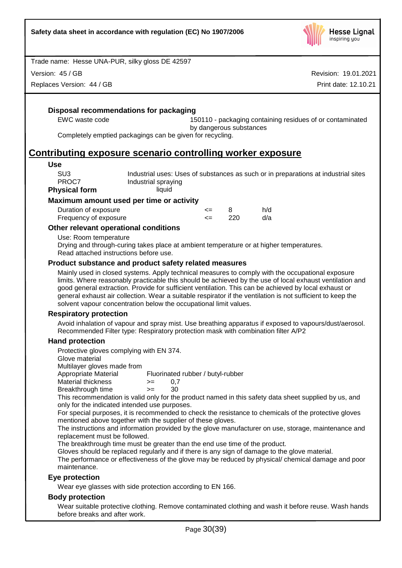

Version: 45 / GB

Replaces Version: 44 / GB

Revision: 19.01.2021 Print date: 12.10.21

# **Disposal recommendations for packaging**

EWC waste code 150110 - packaging containing residues of or contaminated by dangerous substances

Completely emptied packagings can be given for recycling.

# **Contributing exposure scenario controlling worker exposure**

#### **Use**

| SU3           | Industrial uses: Uses of substances as such or in preparations at industrial sites |
|---------------|------------------------------------------------------------------------------------|
| PROC7         | Industrial spraying                                                                |
| Physical form | liquid                                                                             |

#### **Maximum amount used per time or activity**

| Duration of exposure  | <= |     | h/d |
|-----------------------|----|-----|-----|
| Frequency of exposure |    | 220 | d/a |

## **Other relevant operational conditions**

Use: Room temperature

Drying and through-curing takes place at ambient temperature or at higher temperatures. Read attached instructions before use.

## **Product substance and product safety related measures**

Mainly used in closed systems. Apply technical measures to comply with the occupational exposure limits. Where reasonably practicable this should be achieved by the use of local exhaust ventilation and good general extraction. Provide for sufficient ventilation. This can be achieved by local exhaust or general exhaust air collection. Wear a suitable respirator if the ventilation is not sufficient to keep the solvent vapour concentration below the occupational limit values.

#### **Respiratory protection**

Avoid inhalation of vapour and spray mist. Use breathing apparatus if exposed to vapours/dust/aerosol. Recommended Filter type: Respiratory protection mask with combination filter A/P2

# **Hand protection**

Protective gloves complying with EN 374.

Glove material

Multilayer gloves made from<br>Appropriate Material

Fluorinated rubber / butyl-rubber

- $M$ aterial thickness  $> = 0.7$
- Breakthrough time >= 30

This recommendation is valid only for the product named in this safety data sheet supplied by us, and only for the indicated intended use purposes.

For special purposes, it is recommended to check the resistance to chemicals of the protective gloves mentioned above together with the supplier of these gloves.

The instructions and information provided by the glove manufacturer on use, storage, maintenance and replacement must be followed.

The breakthrough time must be greater than the end use time of the product.

Gloves should be replaced regularly and if there is any sign of damage to the glove material.

The performance or effectiveness of the glove may be reduced by physical/ chemical damage and poor maintenance.

# **Eye protection**

Wear eye glasses with side protection according to EN 166.

#### **Body protection**

Wear suitable protective clothing. Remove contaminated clothing and wash it before reuse. Wash hands before breaks and after work.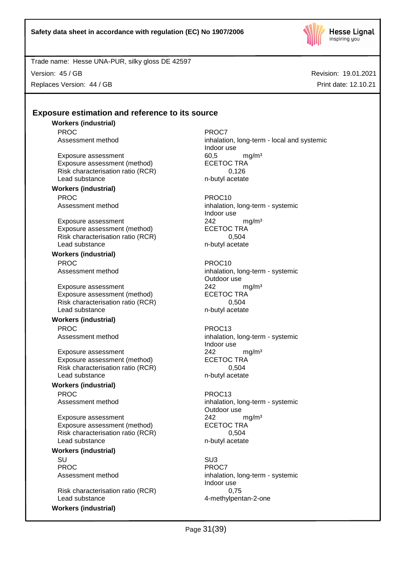

Version: 45 / GB

Replaces Version: 44 / GB

Revision: 19.01.2021 Print date: 12.10.21

# **Exposure estimation and reference to its source**

**Workers (industrial)** PROC PROCT PROCT

Exposure assessment 60,5 mg/m<sup>3</sup><br>Exposure assessment (method) ECETOC TRA Exposure assessment (method) ECETOC TRA<br>Risk characterisation ratio (RCR) 6.126 Risk characterisation ratio (RCR) Lead substance n-butyl acetate

#### **Workers (industrial)** PROC PROC10

Exposure assessment 242 mg/m<sup>3</sup> Exposure assessment (method) ECETOC TRA Risk characterisation ratio (RCR) 0,504 Lead substance n-butyl acetate

**Workers (industrial)** PROC PROC10

Exposure assessment <br>
Exposure assessment (method) 
ECETOC TRA Exposure assessment (method) Risk characterisation ratio (RCR) 0,504 Lead substance n-butyl acetate

# **Workers (industrial)**

PROC PROC13

Exposure assessment  $242$  mg/m<sup>3</sup><br>Exposure assessment (method) ECETOC TRA Exposure assessment (method) Risk characterisation ratio (RCR) 0,504 Lead substance n-butyl acetate

# **Workers (industrial)** PROC PROC13

Exposure assessment  $242$  mg/m<sup>3</sup><br>Exposure assessment (method) ECETOC TRA Exposure assessment (method) Risk characterisation ratio (RCR) 0,504 Lead substance n-butyl acetate

#### **Workers (industrial)**

SU SU3 PROC<sup>PROC</sup> PROCT

Risk characterisation ratio (RCR) 0,75 Lead substance and the 4-methylpentan-2-one

**Workers (industrial)**

Assessment method inhalation, long-term - local and systemic Indoor use

Assessment method inhalation, long-term - systemic Indoor use

Assessment method inhalation, long-term - systemic Outdoor use

Assessment method inhalation, long-term - systemic Indoor use

Assessment method inhalation, long-term - systemic Outdoor use

Assessment method inhalation, long-term - systemic Indoor use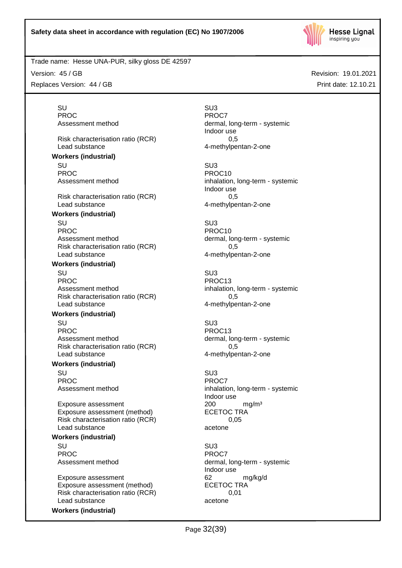

Version: 45 / GB

Replaces Version: 44 / GB

Revision: 19.01.2021 Print date: 12.10.21

SU SU3 PROC<sup>PROC</sup> PROC7

Risk characterisation ratio (RCR) 6.5 Lead substance 4-methylpentan-2-one

**Workers (industrial)**

SU SU3 PROC PROCTES PROCTES

Risk characterisation ratio (RCR) 6.5 Lead substance and the 4-methylpentan-2-one

# **Workers (industrial)**

SU SU3 PROC PROCTES PROCTES Assessment method dermal, long-term - systemic Risk characterisation ratio (RCR) 0,5 Lead substance and the 4-methylpentan-2-one

## **Workers (industrial)**

SU SU3 PROC PROC13 Assessment method inhalation, long-term - systemic Risk characterisation ratio (RCR) 6.5 Lead substance and the 4-methylpentan-2-one

# **Workers (industrial)**

SU SU3 PROC PROC13 Assessment method dermal, long-term - systemic Risk characterisation ratio (RCR) 0,5 Lead substance **4-methylpentan-2-one** 

# **Workers (industrial)**

SU SU3 PROC<sup>P</sup> PROCT

Exposure assessment <br>
Exposure assessment (method) 
<br>
ECETOC TRA Exposure assessment (method) Risk characterisation ratio (RCR) 0,05 Lead substance acetone

# **Workers (industrial)**

SU SU3 PROC<sup>PROC</sup> PROCT

Exposure assessment and the control of the control of the control of the control of the control of the control o<br>
ECETOC TRA Exposure assessment (method) Risk characterisation ratio (RCR) 0,01 Lead substance acetone

**Workers (industrial)**

Assessment method dermal, long-term - systemic Indoor use

Assessment method inhalation, long-term - systemic Indoor use

Assessment method inhalation, long-term - systemic Indoor use

Assessment method dermal, long-term - systemic Indoor use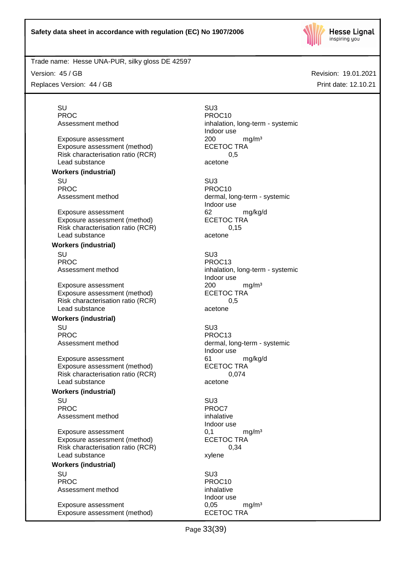

Version: 45 / GB

Replaces Version: 44 / GB

SU SU3 PROC PROCTES PROCTES

Exposure assessment<br>
Exposure assessment (method) 
<br>
ECETOC TRA Exposure assessment (method) Risk characterisation ratio (RCR) 0,5 Lead substance acetone

**Workers (industrial)**

SU SU3 PROC PROC10<br>Assessment method by the process of the process of the process of the process of the process of the process of the process of the process of the process of the process of the process of the process of the proce

Exposure assessment 62 mg/kg/d Exposure assessment (method) ECETOC TRA Risk characterisation ratio (RCR) 0,15 Lead substance acetone

## **Workers (industrial)**

SU SU3 PROC<br>Assessment method<br>Assessment method

Exposure assessment  $200$  mg/m<sup>3</sup><br>Exposure assessment (method) ECETOC TRA Exposure assessment (method) Risk characterisation ratio (RCR) 0,5 Lead substance acetone

#### **Workers (industrial)**

SU SU3 PROC PROC13

Exposure assessment details and the state of the manufacture of the manufacture of the manufacture of the manu<br>
ECETOC TRA Exposure assessment (method) Risk characterisation ratio (RCR) 0,074 Lead substance acetone

# **Workers (industrial)**

SU SU3 PROC<sup>PROC</sup> PROC7 Assessment method inhalative

Exposure assessment <br>
Exposure assessment (method) 
ECETOC TRA Exposure assessment (method) Risk characterisation ratio (RCR) 0,34 Lead substance xylene

# **Workers (industrial)**

SU SU3 PROC PROC10 Assessment method inhalative

Exposure assessment 0,05 mg/m<sup>3</sup> Exposure assessment (method) ECETOC TRA

Assessment method inhalation, long-term - systemic Indoor use

dermal, long-term - systemic Indoor use

inhalation, long-term - systemic Indoor use

Assessment method dermal, long-term - systemic Indoor use

Indoor use

Indoor use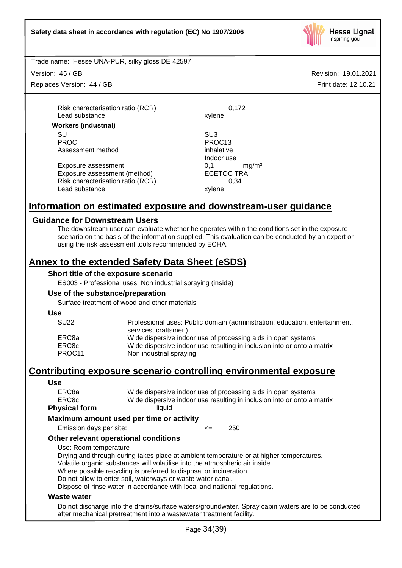

Trade name: Hesse UNA-PUR, silky gloss DE 42597

Version: 45 / GB

Replaces Version: 44 / GB

Revision: 19.01.2021 Print date: 12.10.21

Risk characterisation ratio (RCR) 0,172 Lead substance xylene

**Workers (industrial)** SU SU3 PROC PROC13

Assessment method inhalative

Exposure assessment  $0,1$  mg/m<sup>3</sup><br>Exposure assessment (method) ECETOC TRA Exposure assessment (method) Risk characterisation ratio (RCR) 0,34 Lead substance xylene

Indoor use

# **Information on estimated exposure and downstream-user guidance**

# **Guidance for Downstream Users**

The downstream user can evaluate whether he operates within the conditions set in the exposure scenario on the basis of the information supplied. This evaluation can be conducted by an expert or using the risk assessment tools recommended by ECHA.

# **Annex to the extended Safety Data Sheet (eSDS)**

## **Short title of the exposure scenario**

ES003 - Professional uses: Non industrial spraying (inside)

# **Use of the substance/preparation**

Surface treatment of wood and other materials

**Use**

| <b>SU22</b> | Professional uses: Public domain (administration, education, entertainment,<br>services, craftsmen) |
|-------------|-----------------------------------------------------------------------------------------------------|
| ERC8a       | Wide dispersive indoor use of processing aids in open systems                                       |
| ERC8c       | Wide dispersive indoor use resulting in inclusion into or onto a matrix                             |
| PROC11      | Non industrial spraying                                                                             |

# **Contributing exposure scenario controlling environmental exposure**

#### **Use**

|                      | Maximum amount used per time or activity                                |
|----------------------|-------------------------------------------------------------------------|
| <b>Physical form</b> | liquid                                                                  |
| ERC8c                | Wide dispersive indoor use resulting in inclusion into or onto a matrix |
| ERC8a                | Wide dispersive indoor use of processing aids in open systems           |
|                      |                                                                         |

Emission days per site:  $\leq$  250

# **Other relevant operational conditions**

Use: Room temperature

Drying and through-curing takes place at ambient temperature or at higher temperatures. Volatile organic substances will volatilise into the atmospheric air inside.

Where possible recycling is preferred to disposal or incineration.

Do not allow to enter soil, waterways or waste water canal.

Dispose of rinse water in accordance with local and national regulations.

#### **Waste water**

Do not discharge into the drains/surface waters/groundwater. Spray cabin waters are to be conducted after mechanical pretreatment into a wastewater treatment facility.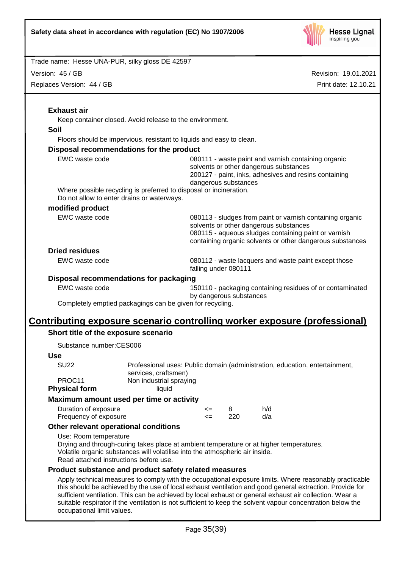

Version: 45 / GB

Replaces Version: 44 / GB

|                                                                  | Keep container closed. Avoid release to the environment.                                                                                                        |              |                         |                                                                                                                                                                                                                          |
|------------------------------------------------------------------|-----------------------------------------------------------------------------------------------------------------------------------------------------------------|--------------|-------------------------|--------------------------------------------------------------------------------------------------------------------------------------------------------------------------------------------------------------------------|
| <b>Soil</b>                                                      |                                                                                                                                                                 |              |                         |                                                                                                                                                                                                                          |
|                                                                  | Floors should be impervious, resistant to liquids and easy to clean.                                                                                            |              |                         |                                                                                                                                                                                                                          |
|                                                                  | Disposal recommendations for the product                                                                                                                        |              |                         |                                                                                                                                                                                                                          |
| EWC waste code                                                   |                                                                                                                                                                 |              | dangerous substances    | 080111 - waste paint and varnish containing organic<br>solvents or other dangerous substances<br>200127 - paint, inks, adhesives and resins containing                                                                   |
|                                                                  | Where possible recycling is preferred to disposal or incineration.<br>Do not allow to enter drains or waterways.                                                |              |                         |                                                                                                                                                                                                                          |
| modified product                                                 |                                                                                                                                                                 |              |                         |                                                                                                                                                                                                                          |
| EWC waste code                                                   |                                                                                                                                                                 |              |                         | 080113 - sludges from paint or varnish containing organic<br>solvents or other dangerous substances<br>080115 - aqueous sludges containing paint or varnish<br>containing organic solvents or other dangerous substances |
| <b>Dried residues</b>                                            |                                                                                                                                                                 |              |                         |                                                                                                                                                                                                                          |
| EWC waste code                                                   |                                                                                                                                                                 |              | falling under 080111    | 080112 - waste lacquers and waste paint except those                                                                                                                                                                     |
|                                                                  | Disposal recommendations for packaging                                                                                                                          |              |                         |                                                                                                                                                                                                                          |
| EWC waste code                                                   |                                                                                                                                                                 |              | by dangerous substances | 150110 - packaging containing residues of or contaminated                                                                                                                                                                |
|                                                                  | Completely emptied packagings can be given for recycling.                                                                                                       |              |                         |                                                                                                                                                                                                                          |
| Short title of the exposure scenario                             |                                                                                                                                                                 |              |                         | <u>Contributing exposure scenario controlling worker exposure (professional)</u>                                                                                                                                         |
| Substance number:CES006                                          |                                                                                                                                                                 |              |                         |                                                                                                                                                                                                                          |
| <b>Use</b>                                                       |                                                                                                                                                                 |              |                         |                                                                                                                                                                                                                          |
| <b>SU22</b><br>PROC11                                            | services, craftsmen)<br>Non industrial spraying<br>liquid                                                                                                       |              |                         | Professional uses: Public domain (administration, education, entertainment,                                                                                                                                              |
| <b>Physical form</b>                                             |                                                                                                                                                                 |              |                         |                                                                                                                                                                                                                          |
|                                                                  |                                                                                                                                                                 | <=<br>$\leq$ | 8<br>220                | h/d<br>d/a                                                                                                                                                                                                               |
| Maximum amount used per time or activity<br>Duration of exposure |                                                                                                                                                                 |              |                         |                                                                                                                                                                                                                          |
| Frequency of exposure                                            |                                                                                                                                                                 |              |                         |                                                                                                                                                                                                                          |
| Use: Room temperature                                            | Other relevant operational conditions<br>Volatile organic substances will volatilise into the atmospheric air inside.<br>Read attached instructions before use. |              |                         | Drying and through-curing takes place at ambient temperature or at higher temperatures.                                                                                                                                  |
|                                                                  | Product substance and product safety related measures                                                                                                           |              |                         |                                                                                                                                                                                                                          |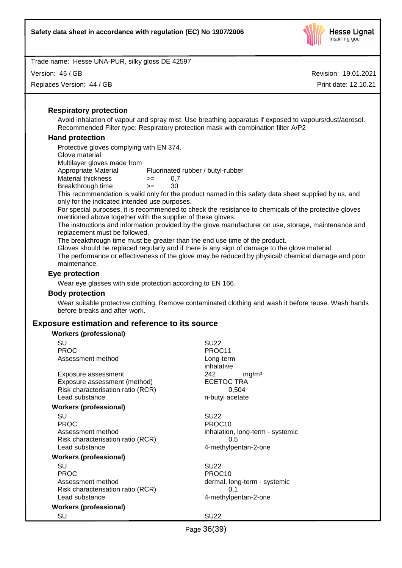

Version: 45 / GB

Replaces Version: 44 / GB

Revision: 19.01.2021 Print date: 12.10.21

## **Respiratory protection**

Avoid inhalation of vapour and spray mist. Use breathing apparatus if exposed to vapours/dust/aerosol. Recommended Filter type: Respiratory protection mask with combination filter A/P2

## **Hand protection**

Protective gloves complying with EN 374. Glove material Multilayer gloves made from Appropriate Material Fluorinated rubber / butyl-rubber Material thickness  $> = 0.7$ Breakthrough time >= 30

This recommendation is valid only for the product named in this safety data sheet supplied by us, and only for the indicated intended use purposes.

For special purposes, it is recommended to check the resistance to chemicals of the protective gloves mentioned above together with the supplier of these gloves.

The instructions and information provided by the glove manufacturer on use, storage, maintenance and replacement must be followed.

The breakthrough time must be greater than the end use time of the product.

Gloves should be replaced regularly and if there is any sign of damage to the glove material.

The performance or effectiveness of the glove may be reduced by physical/ chemical damage and poor maintenance.

## **Eye protection**

Wear eye glasses with side protection according to EN 166.

#### **Body protection**

Wear suitable protective clothing. Remove contaminated clothing and wash it before reuse. Wash hands before breaks and after work.

# **Exposure estimation and reference to its source**

| <b>Workers (professional)</b>     |                                  |
|-----------------------------------|----------------------------------|
| SU                                | <b>SU22</b>                      |
| <b>PROC</b>                       | PROC <sub>11</sub>               |
| Assessment method                 | Long-term                        |
|                                   | inhalative                       |
| Exposure assessment               | 242<br>mg/m <sup>3</sup>         |
| Exposure assessment (method)      | <b>ECETOC TRA</b>                |
| Risk characterisation ratio (RCR) | 0,504                            |
| Lead substance                    | n-butyl acetate                  |
| <b>Workers (professional)</b>     |                                  |
| SU                                | <b>SU22</b>                      |
| <b>PROC</b>                       | PROC <sub>10</sub>               |
| Assessment method                 | inhalation, long-term - systemic |
| Risk characterisation ratio (RCR) | 0,5                              |
| Lead substance                    | 4-methylpentan-2-one             |
| <b>Workers (professional)</b>     |                                  |
| SU                                | SU <sub>22</sub>                 |
| <b>PROC</b>                       | PROC <sub>10</sub>               |
| Assessment method                 | dermal, long-term - systemic     |
| Risk characterisation ratio (RCR) | 0,1                              |
| Lead substance                    | 4-methylpentan-2-one             |
| <b>Workers (professional)</b>     |                                  |
| SU                                | SU <sub>22</sub>                 |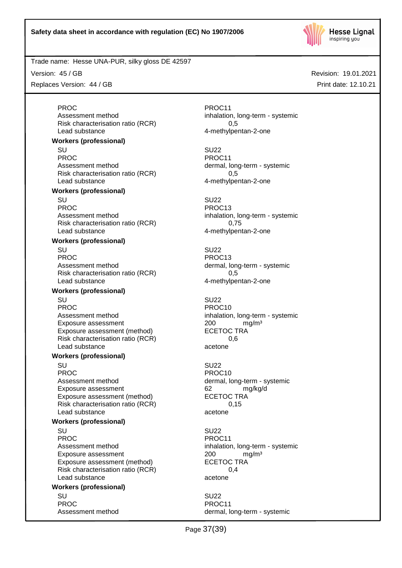

Trade name: Hesse UNA-PUR, silky gloss DE 42597

Version: 45 / GB

Replaces Version: 44 / GB

**Workers (professional)**

**Workers (professional)**

**Workers (professional)**

**Workers (professional)**

**Workers (professional)**

**Workers (professional)**

**Workers (professional)**

Exposure assessment (method)

Exposure assessment (method)

Exposure assessment (method)

PROC PROCTER PROCTER PROCTER PROCTER PROCTER PROCTER PROCTER PROCTER PROCTER PROCTER PROCTER PROCTER PROCTER PROCTER PROCTER PROCTER PROCTER PROCTER PROCTER PROCTER PROCTER PROCTER PROCTER PROCTER PROCTER PROCTER PROCTER P Assessment method inhalation, long-term - systemic Risk characterisation ratio (RCR) 0,5 Lead substance and the 4-methylpentan-2-one

SU SU22 PROC PROC11<br>Assessment method by the process of the process of the process of the process of the process of the process of dermal, long-term - systemic Risk characterisation ratio (RCR) 0,5 Lead substance and the 4-methylpentan-2-one

SU SU22 PROC PROC13 Assessment method inhalation, long-term - systemic Risk characterisation ratio (RCR) 0,75 Lead substance and the 4-methylpentan-2-one

SU SU22 PROC PROC13 Assessment method dermal, long-term - systemic Risk characterisation ratio (RCR) 0,5 Lead substance example and the 4-methylpentan-2-one

SU SU22 PROC PROCTER PROCTER PROCTER PROCTER PROCTER PROCTER PROCTER PROCTER PROCTER PROCTER PROCTER PROCTER PROCTER PROCTER PROCTER PROCTER PROCTER PROCTER PROCTER PROCTER PROCTER PROCTER PROCTER PROCTER PROCTER PROCTER PROCTER P Assessment method inhalation, long-term - systemic Exposure assessment  $200$  mg/m<sup>3</sup><br>Exposure assessment (method) ECETOC TRA Risk characterisation ratio (RCR) 0.6 Lead substance acetone

SU SU22 PROC PROCTER PROCTER PROCTER PROCTER PROCTER PROCTER PROCTER PROCTER PROCTER PROCTER PROCTER PROCTER PROCTER PROCTER PROCTER PROCTER PROCTER PROCTER PROCTER PROCTER PROCTER PROCTER PROCTER PROCTER PROCTER PROCTER PROCTER P Assessment method dermal, long-term - systemic Exposure assessment and the control of the control of the match of the match of the formulation of the formula<br>
Exposure assessment (method) FCFTOC TRA Risk characterisation ratio (RCR) 0,15 Lead substance acetone

SU SU22 PROC PROCHES PROCHES PROCHES PROCHES Assessment method inhalation, long-term - systemic Exposure assessment <br>
Exposure assessment (method) 
<br>
ECETOC TRA Risk characterisation ratio (RCR) 0,4 Lead substance acetone

SU SU22 PROC PROCTER PROCTER PROCTER PROCTER PROCTER PROCTER PROCTER PROCTER PROCTER PROCTER PROCTER PROCTER PROCTER PROCTER PROCTER PROCTER PROCTER PROCTER PROCTER PROCTER PROCTER PROCTER PROCTER PROCTER PROCTER PROCTER PROCTER P Assessment method dermal, long-term - systemic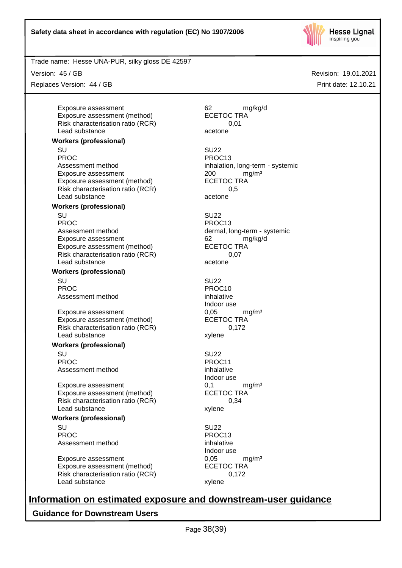

Trade name: Hesse UNA-PUR, silky gloss DE 42597

Version: 45 / GB

Replaces Version: 44 / GB

Exposure assessment and the control of the control of the control of the control of the control of the control o<br>
ECETOC TRA Exposure assessment (method) Risk characterisation ratio (RCR) 0,01 Lead substance acetone **Workers (professional)**

SU SU22 PROC PROC13 Assessment method inhalation, long-term - systemic Exposure assessment <br>
Exposure assessment (method) 
<br>
ECETOC TRA Exposure assessment (method) Risk characterisation ratio (RCR) 6.5 Lead substance acetone

# **Workers (professional)**

SU SU22 PROC PROC13 Assessment method dermal, long-term - systemic Exposure assessment 62 mg/kg/d Exposure assessment (method) ECETOC TRA Risk characterisation ratio (RCR) 0,07 Lead substance acetone

#### **Workers (professional)**

SU SU22 PROC PROCTES AND PROCTES PROCTES AND PROCTES AND PROCTES AND PROCTES AND PROCTES AND PROCTES AND PROCTES AND ALL AND PROCTES AND ALL AND ANNUAL AND ALL AND ANNUAL AND ALL AND ANNUAL AND ALL AND ANNUAL AND ALL AND ANNUAL AN Assessment method inhalative

Exposure assessment 6,05 mg/m<sup>3</sup> Exposure assessment (method) ECETOC TRA Risk characterisation ratio (RCR) 0,172 Lead substance xylene

#### **Workers (professional)**

SU SU22 PROC PROCTES PROCTES PROCTES Assessment method inhalative

Exposure assessment <br>
Exposure assessment (method) 
ECETOC TRA Exposure assessment (method) Risk characterisation ratio (RCR) 0,34 Lead substance xylene

#### **Workers (professional)**

SU SU22 PROC PROC13 Assessment method inhalative

Exposure assessment 6,05 mg/m<sup>3</sup> Exposure assessment (method) ECETOC TRA<br>Risk characterisation ratio (RCR) 6.172 Risk characterisation ratio (RCR) Lead substance xylene

Indoor use

Indoor use

Indoor use

# **Information on estimated exposure and downstream-user guidance**

**Guidance for Downstream Users**